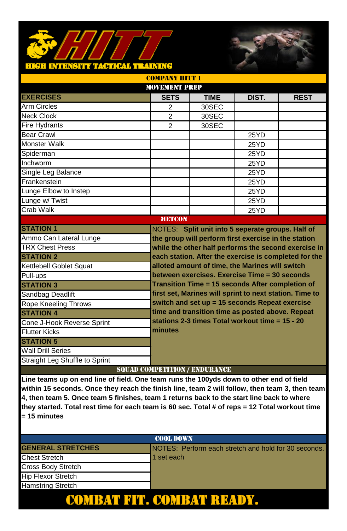# H INFRØFFY TAGTICAL IT MENING



|                                | <b>MOVEMENT PREP</b>                 |             |                                                         |                                                      |
|--------------------------------|--------------------------------------|-------------|---------------------------------------------------------|------------------------------------------------------|
| <b>EXERCISES</b>               | <b>SETS</b>                          | <b>TIME</b> | DIST.                                                   | <b>REST</b>                                          |
| <b>Arm Circles</b>             | $\overline{2}$                       | 30SEC       |                                                         |                                                      |
| <b>Neck Clock</b>              | $\overline{2}$                       | 30SEC       |                                                         |                                                      |
| <b>Fire Hydrants</b>           | $\overline{2}$                       | 30SEC       |                                                         |                                                      |
| <b>Bear Crawl</b>              |                                      |             | 25YD                                                    |                                                      |
| <b>Monster Walk</b>            |                                      |             | 25YD                                                    |                                                      |
| Spiderman                      |                                      |             | 25YD                                                    |                                                      |
| Inchworm                       |                                      |             | 25YD                                                    |                                                      |
| Single Leg Balance             |                                      |             | 25YD                                                    |                                                      |
| Frankenstein                   |                                      |             | 25YD                                                    |                                                      |
| Lunge Elbow to Instep          |                                      |             | 25YD                                                    |                                                      |
| Lunge w/ Twist                 |                                      |             | 25YD                                                    |                                                      |
| Crab Walk                      |                                      |             | 25YD                                                    |                                                      |
|                                | <b>METCON</b>                        |             |                                                         |                                                      |
| <b>STATION 1</b>               |                                      |             | NOTES: Split unit into 5 seperate groups. Half of       |                                                      |
| Ammo Can Lateral Lunge         |                                      |             | the group will perform first exercise in the station    |                                                      |
| <b>TRX Chest Press</b>         |                                      |             |                                                         | while the other half performs the second exercise in |
| <b>STATION 2</b>               |                                      |             | each station. After the exercise is completed for the   |                                                      |
| Kettlebell Goblet Squat        |                                      |             | alloted amount of time, the Marines will switch         |                                                      |
| Pull-ups                       |                                      |             | between exercises. Exercise Time = 30 seconds           |                                                      |
| <b>STATION 3</b>               |                                      |             | Transition Time = 15 seconds After completion of        |                                                      |
| Sandbag Deadlift               |                                      |             | first set, Marines will sprint to next station. Time to |                                                      |
| Rope Kneeling Throws           |                                      |             | switch and set up = 15 seconds Repeat exercise          |                                                      |
| <b>STATION 4</b>               |                                      |             | time and transition time as posted above. Repeat        |                                                      |
| Cone J-Hook Reverse Sprint     |                                      |             | stations 2-3 times Total workout time = 15 - 20         |                                                      |
| <b>Flutter Kicks</b>           | minutes                              |             |                                                         |                                                      |
| <b>STATION 5</b>               |                                      |             |                                                         |                                                      |
| <b>Wall Drill Series</b>       |                                      |             |                                                         |                                                      |
| Straight Leg Shuffle to Sprint |                                      |             |                                                         |                                                      |
|                                | <b>SOUAD COMPETITION / ENDURANCE</b> |             |                                                         |                                                      |

COMPANY HITT 1

| <b>COOL DOWN</b>          |                                                              |  |  |  |
|---------------------------|--------------------------------------------------------------|--|--|--|
| <b>GENERAL STRETCHES</b>  | <b>INOTES: Perform each stretch and hold for 30 seconds.</b> |  |  |  |
| <b>Chest Stretch</b>      | 1 set each                                                   |  |  |  |
| Cross Body Stretch        |                                                              |  |  |  |
| <b>Hip Flexor Stretch</b> |                                                              |  |  |  |
| <b>Hamstring Stretch</b>  |                                                              |  |  |  |
|                           |                                                              |  |  |  |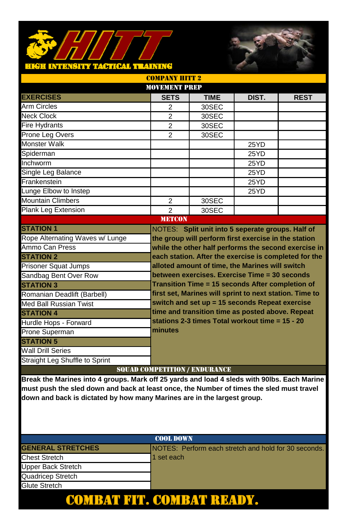# <u>H INTENSITY TACTICAL TEAINING</u>



|                                                                                             | <b>MOVEMENT PREP</b>                 |                                                         |       |             |  |
|---------------------------------------------------------------------------------------------|--------------------------------------|---------------------------------------------------------|-------|-------------|--|
| <b>EXERCISES</b>                                                                            | <b>SETS</b>                          | <b>TIME</b>                                             | DIST. | <b>REST</b> |  |
| <b>Arm Circles</b>                                                                          | 2                                    | 30SEC                                                   |       |             |  |
| <b>Neck Clock</b>                                                                           | $\overline{2}$                       | 30SEC                                                   |       |             |  |
| <b>Fire Hydrants</b>                                                                        | 2                                    | 30SEC                                                   |       |             |  |
| Prone Leg Overs                                                                             | 2                                    | 30SEC                                                   |       |             |  |
| <b>Monster Walk</b>                                                                         |                                      |                                                         | 25YD  |             |  |
| Spiderman                                                                                   |                                      |                                                         | 25YD  |             |  |
| Inchworm                                                                                    |                                      |                                                         | 25YD  |             |  |
| Single Leg Balance                                                                          |                                      |                                                         | 25YD  |             |  |
| Frankenstein                                                                                |                                      |                                                         | 25YD  |             |  |
| Lunge Elbow to Instep                                                                       |                                      |                                                         | 25YD  |             |  |
| <b>Mountain Climbers</b>                                                                    | $\overline{2}$                       | 30SEC                                                   |       |             |  |
| <b>Plank Leg Extension</b>                                                                  | $\mathfrak{p}$                       | 30SEC                                                   |       |             |  |
|                                                                                             | <b>METCON</b>                        |                                                         |       |             |  |
| <b>STATION 1</b>                                                                            |                                      | NOTES: Split unit into 5 seperate groups. Half of       |       |             |  |
| Rope Alternating Waves w/ Lunge                                                             |                                      | the group will perform first exercise in the station    |       |             |  |
| Ammo Can Press                                                                              |                                      | while the other half performs the second exercise in    |       |             |  |
| <b>STATION 2</b>                                                                            |                                      | each station. After the exercise is completed for the   |       |             |  |
| <b>Prisoner Squat Jumps</b>                                                                 |                                      | alloted amount of time, the Marines will switch         |       |             |  |
| Sandbag Bent Over Row                                                                       |                                      | between exercises. Exercise Time = 30 seconds           |       |             |  |
| <b>STATION 3</b>                                                                            |                                      | Transition Time = 15 seconds After completion of        |       |             |  |
| Romanian Deadlift (Barbell)                                                                 |                                      | first set, Marines will sprint to next station. Time to |       |             |  |
| Med Ball Russian Twist                                                                      |                                      | switch and set up = 15 seconds Repeat exercise          |       |             |  |
| <b>STATION 4</b>                                                                            |                                      | time and transition time as posted above. Repeat        |       |             |  |
| Hurdle Hops - Forward                                                                       |                                      | stations 2-3 times Total workout time = 15 - 20         |       |             |  |
| Prone Superman                                                                              | minutes                              |                                                         |       |             |  |
| <b>STATION 5</b>                                                                            |                                      |                                                         |       |             |  |
| <b>Wall Drill Series</b>                                                                    |                                      |                                                         |       |             |  |
| Straight Leg Shuffle to Sprint                                                              |                                      |                                                         |       |             |  |
|                                                                                             | <b>SQUAD COMPETITION / ENDURANCE</b> |                                                         |       |             |  |
| Break the Marines into 4 groups. Mark off 25 yards and load 4 sleds with 90lbs. Each Marine |                                      |                                                         |       |             |  |
|                                                                                             |                                      |                                                         |       |             |  |

COMPANY HITT 9

**must push the sled down and back at least once, the Number of times the sled must travel down and back is dictated by how many Marines are in the largest group.** 

# GENERAL STRETCHES **Notify Information** NOTES: Perform each stretch and hold for 30 seconds. Chest Stretch 1 set each Upper Back Stretch Quadricep Stretch Glute Stretch COOL DOWN COMBAT FIT. COMBAT READY.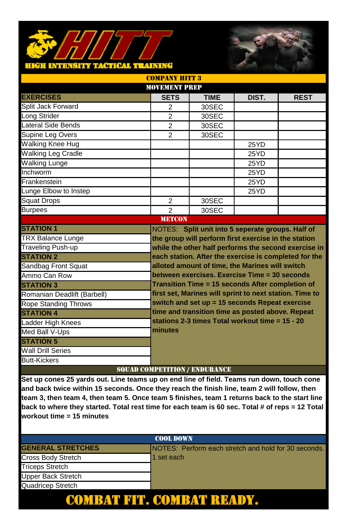### HÉH INFRÉ<mark>ily tagtcal tea</mark>ining



|                             | <b>MOVEMENT PREP</b>                 |                                                         |       |                                                      |
|-----------------------------|--------------------------------------|---------------------------------------------------------|-------|------------------------------------------------------|
| <b>EXERCISES</b>            | <b>SETS</b>                          | <b>TIME</b>                                             | DIST. | <b>REST</b>                                          |
| Split Jack Forward          | $\overline{2}$                       | 30SEC                                                   |       |                                                      |
| Long Strider                | $\overline{2}$                       | 30SEC                                                   |       |                                                      |
| Lateral Side Bends          | $\overline{2}$                       | 30SEC                                                   |       |                                                      |
| Supine Leg Overs            | 2                                    | 30SEC                                                   |       |                                                      |
| <b>Walking Knee Hug</b>     |                                      |                                                         | 25YD  |                                                      |
| <b>Walking Leg Cradle</b>   |                                      |                                                         | 25YD  |                                                      |
| <b>Walking Lunge</b>        |                                      |                                                         | 25YD  |                                                      |
| Inchworm                    |                                      |                                                         | 25YD  |                                                      |
| Frankenstein                |                                      |                                                         | 25YD  |                                                      |
| Lunge Elbow to Instep       |                                      |                                                         | 25YD  |                                                      |
| <b>Squat Drops</b>          | $\overline{2}$                       | 30SEC                                                   |       |                                                      |
| <b>Burpees</b>              | $\overline{2}$                       | 30SEC                                                   |       |                                                      |
|                             | <b>METCON</b>                        |                                                         |       |                                                      |
| <b>STATION 1</b>            |                                      | NOTES: Split unit into 5 seperate groups. Half of       |       |                                                      |
| <b>TRX Balance Lunge</b>    |                                      | the group will perform first exercise in the station    |       |                                                      |
| <b>Traveling Push-up</b>    |                                      |                                                         |       | while the other half performs the second exercise in |
| <b>STATION 2</b>            |                                      | each station. After the exercise is completed for the   |       |                                                      |
| Sandbag Front Squat         |                                      | alloted amount of time, the Marines will switch         |       |                                                      |
| Ammo Can Row                |                                      | between exercises. Exercise Time = 30 seconds           |       |                                                      |
| <b>STATION 3</b>            |                                      | Transition Time = 15 seconds After completion of        |       |                                                      |
| Romanian Deadlift (Barbell) |                                      | first set, Marines will sprint to next station. Time to |       |                                                      |
| <b>Rope Standing Throws</b> |                                      | switch and set up = 15 seconds Repeat exercise          |       |                                                      |
| <b>STATION 4</b>            |                                      | time and transition time as posted above. Repeat        |       |                                                      |
| Ladder High Knees           |                                      | stations 2-3 times Total workout time = 15 - 20         |       |                                                      |
| Med Ball V-Ups              | minutes                              |                                                         |       |                                                      |
| <b>STATION 5</b>            |                                      |                                                         |       |                                                      |
| <b>Wall Drill Series</b>    |                                      |                                                         |       |                                                      |
| <b>Butt-Kickers</b>         |                                      |                                                         |       |                                                      |
|                             | <b>SOUAD COMPETITION / ENDURANCE</b> |                                                         |       |                                                      |

COMPANY HITT 3

| <b>COOL DOWN</b>          |                                                      |  |  |  |
|---------------------------|------------------------------------------------------|--|--|--|
| <b>GENERAL STRETCHES</b>  | NOTES: Perform each stretch and hold for 30 seconds. |  |  |  |
| Cross Body Stretch        | 1 set each                                           |  |  |  |
| <b>Triceps Stretch</b>    |                                                      |  |  |  |
| <b>Upper Back Stretch</b> |                                                      |  |  |  |
| Quadricep Stretch         |                                                      |  |  |  |
|                           |                                                      |  |  |  |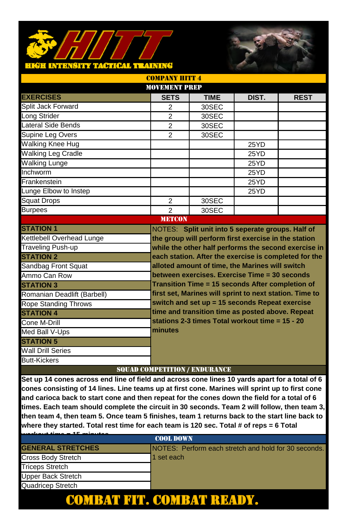### <mark>hkëh intensity tactical training</mark>



|                             | <b>MOVEMENT PREP</b>                 |                                                         |       |                                                       |
|-----------------------------|--------------------------------------|---------------------------------------------------------|-------|-------------------------------------------------------|
| <b>EXERCISES</b>            | <b>SETS</b>                          | <b>TIME</b>                                             | DIST. | <b>REST</b>                                           |
| Split Jack Forward          | $\overline{2}$                       | 30SEC                                                   |       |                                                       |
| Long Strider                | $\overline{2}$                       | 30SEC                                                   |       |                                                       |
| Lateral Side Bends          | $\overline{2}$                       | 30SEC                                                   |       |                                                       |
| Supine Leg Overs            | $\overline{2}$                       | 30SEC                                                   |       |                                                       |
| <b>Walking Knee Hug</b>     |                                      |                                                         | 25YD  |                                                       |
| <b>Walking Leg Cradle</b>   |                                      |                                                         | 25YD  |                                                       |
| <b>Walking Lunge</b>        |                                      |                                                         | 25YD  |                                                       |
| Inchworm                    |                                      |                                                         | 25YD  |                                                       |
| Frankenstein                |                                      |                                                         | 25YD  |                                                       |
| Lunge Elbow to Instep       |                                      |                                                         | 25YD  |                                                       |
| <b>Squat Drops</b>          | $\overline{2}$                       | 30SEC                                                   |       |                                                       |
| <b>Burpees</b>              | $\overline{2}$                       | 30SEC                                                   |       |                                                       |
|                             | <b>METCON</b>                        |                                                         |       |                                                       |
| <b>STATION 1</b>            |                                      | NOTES: Split unit into 5 seperate groups. Half of       |       |                                                       |
| Kettlebell Overhead Lunge   |                                      | the group will perform first exercise in the station    |       |                                                       |
| <b>Traveling Push-up</b>    |                                      |                                                         |       | while the other half performs the second exercise in  |
| <b>STATION 2</b>            |                                      |                                                         |       | each station. After the exercise is completed for the |
| Sandbag Front Squat         |                                      | alloted amount of time, the Marines will switch         |       |                                                       |
| Ammo Can Row                |                                      | between exercises. Exercise Time = 30 seconds           |       |                                                       |
| <b>STATION 3</b>            |                                      | Transition Time = 15 seconds After completion of        |       |                                                       |
| Romanian Deadlift (Barbell) |                                      | first set, Marines will sprint to next station. Time to |       |                                                       |
| <b>Rope Standing Throws</b> |                                      | switch and set up = 15 seconds Repeat exercise          |       |                                                       |
| <b>STATION 4</b>            |                                      | time and transition time as posted above. Repeat        |       |                                                       |
| Cone M-Drill                |                                      | stations 2-3 times Total workout time = 15 - 20         |       |                                                       |
| Med Ball V-Ups              | minutes                              |                                                         |       |                                                       |
| <b>STATION 5</b>            |                                      |                                                         |       |                                                       |
| <b>Wall Drill Series</b>    |                                      |                                                         |       |                                                       |
| <b>Butt-Kickers</b>         |                                      |                                                         |       |                                                       |
|                             | <b>SOUAD COMPETITION / ENDURANCE</b> |                                                         |       |                                                       |

COMPANY HITT 4

| <b>AF</b> activities     |                                                      |  |  |
|--------------------------|------------------------------------------------------|--|--|
| <b>COOL DOWN</b>         |                                                      |  |  |
| <b>GENERAL STRETCHES</b> | NOTES: Perform each stretch and hold for 30 seconds. |  |  |
| Cross Body Stretch       | 1 set each                                           |  |  |
| <b>Triceps Stretch</b>   |                                                      |  |  |
| Upper Back Stretch       |                                                      |  |  |
| Quadricep Stretch        |                                                      |  |  |
|                          |                                                      |  |  |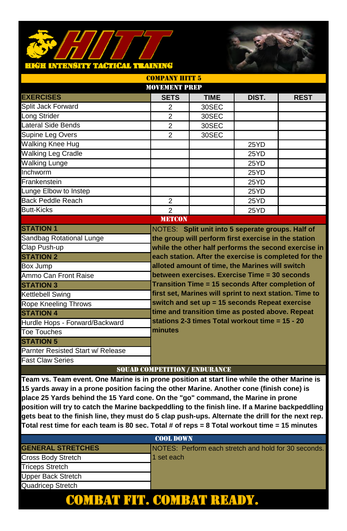### **TACTICAL TRAINING** HIGH INTRNSITY



|                                   | <b>MOVEMENT PREP</b> |                                                         |       |                                                      |
|-----------------------------------|----------------------|---------------------------------------------------------|-------|------------------------------------------------------|
| <b>EXERCISES</b>                  | <b>SETS</b>          | <b>TIME</b>                                             | DIST. | <b>REST</b>                                          |
| Split Jack Forward                | $\overline{2}$       | 30SEC                                                   |       |                                                      |
| Long Strider                      | $\overline{2}$       | 30SEC                                                   |       |                                                      |
| Lateral Side Bends                | $\mathfrak{p}$       | 30SEC                                                   |       |                                                      |
| Supine Leg Overs                  | $\overline{2}$       | 30SEC                                                   |       |                                                      |
| <b>Walking Knee Hug</b>           |                      |                                                         | 25YD  |                                                      |
| <b>Walking Leg Cradle</b>         |                      |                                                         | 25YD  |                                                      |
| <b>Walking Lunge</b>              |                      |                                                         | 25YD  |                                                      |
| Inchworm                          |                      |                                                         | 25YD  |                                                      |
| Frankenstein                      |                      |                                                         | 25YD  |                                                      |
| Lunge Elbow to Instep             |                      |                                                         | 25YD  |                                                      |
| Back Peddle Reach                 | $\overline{2}$       |                                                         | 25YD  |                                                      |
| <b>Butt-Kicks</b>                 | $\mathfrak{p}$       |                                                         | 25YD  |                                                      |
|                                   | <b>METCON</b>        |                                                         |       |                                                      |
| <b>STATION 1</b>                  |                      | NOTES: Split unit into 5 seperate groups. Half of       |       |                                                      |
| Sandbag Rotational Lunge          |                      | the group will perform first exercise in the station    |       |                                                      |
| Clap Push-up                      |                      |                                                         |       | while the other half performs the second exercise in |
| <b>STATION 2</b>                  |                      | each station. After the exercise is completed for the   |       |                                                      |
| Box Jump                          |                      | alloted amount of time, the Marines will switch         |       |                                                      |
| Ammo Can Front Raise              |                      | between exercises. Exercise Time = 30 seconds           |       |                                                      |
| <b>STATION 3</b>                  |                      | Transition Time = 15 seconds After completion of        |       |                                                      |
| Kettlebell Swing                  |                      | first set, Marines will sprint to next station. Time to |       |                                                      |
| <b>Rope Kneeling Throws</b>       |                      | switch and set up = 15 seconds Repeat exercise          |       |                                                      |
| <b>STATION 4</b>                  |                      | time and transition time as posted above. Repeat        |       |                                                      |
| Hurdle Hops - Forward/Backward    |                      | stations 2-3 times Total workout time = 15 - 20         |       |                                                      |
| <b>Toe Touches</b>                | minutes              |                                                         |       |                                                      |
| <b>STATION 5</b>                  |                      |                                                         |       |                                                      |
| Parnter Resisted Start w/ Release |                      |                                                         |       |                                                      |
| <b>Fast Claw Series</b>           |                      | CONTAIN CONTENTIONS ON / INTERTIO ANOTHER               |       |                                                      |

COMPANY HITTLE

# SQUAD COMPETITION / ENDURANCE

**Team vs. Team event. One Marine is in prone position at start line while the other Marine is 15 yards away in a prone position facing the other Marine. Another cone (finish cone) is place 25 Yards behind the 15 Yard cone. On the "go" command, the Marine in prone position will try to catch the Marine backpeddling to the finish line. If a Marine backpeddling gets beat to the finish line, they must do 5 clap push-ups. Alternate the drill for the next rep. Total rest time for each team is 80 sec. Total # of reps = 8 Total workout time = 15 minutes**

| <b>COOL DOWN</b>         |                                                      |  |  |  |
|--------------------------|------------------------------------------------------|--|--|--|
| <b>GENERAL STRETCHES</b> | NOTES: Perform each stretch and hold for 30 seconds. |  |  |  |
| Cross Body Stretch       | 1 set each                                           |  |  |  |
| <b>Triceps Stretch</b>   |                                                      |  |  |  |
| Upper Back Stretch       |                                                      |  |  |  |
| Quadricep Stretch        |                                                      |  |  |  |
|                          |                                                      |  |  |  |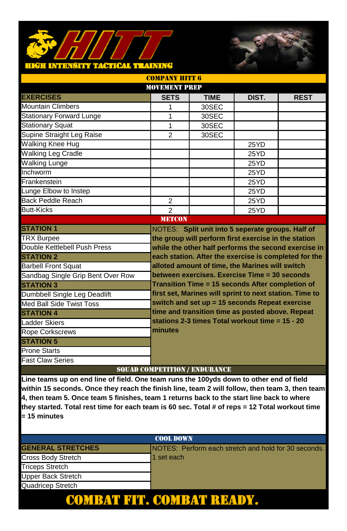### H INTENSITY TAGTICAL TEAINING



| <b>COMPANY HITT 6</b>             |                                      |                                                         |       |                                                       |  |
|-----------------------------------|--------------------------------------|---------------------------------------------------------|-------|-------------------------------------------------------|--|
| <b>MOVEMENT PREP</b>              |                                      |                                                         |       |                                                       |  |
| <b>EXERCISES</b>                  | <b>SETS</b>                          | <b>TIME</b>                                             | DIST. | <b>REST</b>                                           |  |
| <b>Mountain Climbers</b>          | 1                                    | 30SEC                                                   |       |                                                       |  |
| <b>Stationary Forward Lunge</b>   | $\mathbf{1}$                         | 30SEC                                                   |       |                                                       |  |
| <b>Stationary Squat</b>           | 1                                    | 30SEC                                                   |       |                                                       |  |
| Supine Straight Leg Raise         | $\overline{2}$                       | 30SEC                                                   |       |                                                       |  |
| <b>Walking Knee Hug</b>           |                                      |                                                         | 25YD  |                                                       |  |
| Walking Leg Cradle                |                                      |                                                         | 25YD  |                                                       |  |
| <b>Walking Lunge</b>              |                                      |                                                         | 25YD  |                                                       |  |
| Inchworm                          |                                      |                                                         | 25YD  |                                                       |  |
| Frankenstein                      |                                      |                                                         | 25YD  |                                                       |  |
| Lunge Elbow to Instep             |                                      |                                                         | 25YD  |                                                       |  |
| Back Peddle Reach                 | $\overline{2}$                       |                                                         | 25YD  |                                                       |  |
| <b>Butt-Kicks</b>                 | $\overline{2}$                       |                                                         | 25YD  |                                                       |  |
| <b>METCON</b>                     |                                      |                                                         |       |                                                       |  |
| <b>STATION 1</b>                  |                                      | NOTES: Split unit into 5 seperate groups. Half of       |       |                                                       |  |
| <b>TRX Burpee</b>                 |                                      | the group will perform first exercise in the station    |       |                                                       |  |
| Double Kettlebell Push Press      |                                      |                                                         |       | while the other half performs the second exercise in  |  |
| <b>STATION 2</b>                  |                                      |                                                         |       | each station. After the exercise is completed for the |  |
| <b>Barbell Front Squat</b>        |                                      | alloted amount of time, the Marines will switch         |       |                                                       |  |
| Sandbag Single Grip Bent Over Row |                                      | between exercises. Exercise Time = 30 seconds           |       |                                                       |  |
| <b>STATION 3</b>                  |                                      | Transition Time = 15 seconds After completion of        |       |                                                       |  |
| Dumbbell Single Leg Deadlift      |                                      | first set, Marines will sprint to next station. Time to |       |                                                       |  |
| Med Ball Side Twist Toss          |                                      | switch and set up = 15 seconds Repeat exercise          |       |                                                       |  |
| <b>STATION 4</b>                  |                                      | time and transition time as posted above. Repeat        |       |                                                       |  |
| Ladder Skiers                     |                                      | stations 2-3 times Total workout time = 15 - 20         |       |                                                       |  |
| <b>Rope Corkscrews</b>            | minutes                              |                                                         |       |                                                       |  |
| <b>STATION 5</b>                  |                                      |                                                         |       |                                                       |  |
| <b>Prone Starts</b>               |                                      |                                                         |       |                                                       |  |
| <b>Fast Claw Series</b>           |                                      |                                                         |       |                                                       |  |
|                                   | <b>SQUAD COMPETITION / ENDURANCE</b> |                                                         |       |                                                       |  |

| <b>COOL DOWN</b>          |                                                              |  |  |  |
|---------------------------|--------------------------------------------------------------|--|--|--|
| <b>GENERAL STRETCHES</b>  | <b>INOTES: Perform each stretch and hold for 30 seconds.</b> |  |  |  |
| Cross Body Stretch        | 1 set each                                                   |  |  |  |
| <b>Triceps Stretch</b>    |                                                              |  |  |  |
| <b>Upper Back Stretch</b> |                                                              |  |  |  |
| Quadricep Stretch         |                                                              |  |  |  |
|                           |                                                              |  |  |  |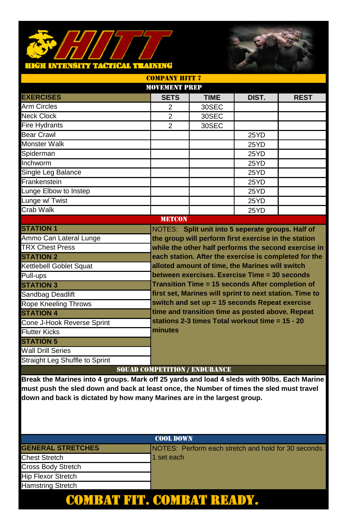### **HIGH INTENSITY TACTICAL TRAINING**



|                                                                                             | <b>MOVEMENT PREP</b>                 |                                                         |       |             |
|---------------------------------------------------------------------------------------------|--------------------------------------|---------------------------------------------------------|-------|-------------|
| <b>EXERCISES</b>                                                                            | <b>SETS</b>                          | <b>TIME</b>                                             | DIST. | <b>REST</b> |
| <b>Arm Circles</b>                                                                          | 2                                    | 30SEC                                                   |       |             |
| <b>Neck Clock</b>                                                                           | 2                                    | 30SEC                                                   |       |             |
| <b>Fire Hydrants</b>                                                                        | $\mathfrak{p}$                       | 30SEC                                                   |       |             |
| <b>Bear Crawl</b>                                                                           |                                      |                                                         | 25YD  |             |
| Monster Walk                                                                                |                                      |                                                         | 25YD  |             |
| Spiderman                                                                                   |                                      |                                                         | 25YD  |             |
| Inchworm                                                                                    |                                      |                                                         | 25YD  |             |
| Single Leg Balance                                                                          |                                      |                                                         | 25YD  |             |
| Frankenstein                                                                                |                                      |                                                         | 25YD  |             |
| Lunge Elbow to Instep                                                                       |                                      |                                                         | 25YD  |             |
| Lunge w/ Twist                                                                              |                                      |                                                         | 25YD  |             |
| Crab Walk                                                                                   |                                      |                                                         | 25YD  |             |
| <b>METCON</b>                                                                               |                                      |                                                         |       |             |
| <b>STATION 1</b>                                                                            |                                      | NOTES: Split unit into 5 seperate groups. Half of       |       |             |
| Ammo Can Lateral Lunge                                                                      |                                      | the group will perform first exercise in the station    |       |             |
| <b>TRX Chest Press</b>                                                                      |                                      | while the other half performs the second exercise in    |       |             |
| <b>STATION 2</b>                                                                            |                                      | each station. After the exercise is completed for the   |       |             |
| Kettlebell Goblet Squat                                                                     |                                      | alloted amount of time, the Marines will switch         |       |             |
| Pull-ups                                                                                    |                                      | between exercises. Exercise Time = 30 seconds           |       |             |
| <b>STATION 3</b>                                                                            |                                      | Transition Time = 15 seconds After completion of        |       |             |
| Sandbag Deadlift                                                                            |                                      | first set, Marines will sprint to next station. Time to |       |             |
| <b>Rope Kneeling Throws</b>                                                                 |                                      | switch and set up = 15 seconds Repeat exercise          |       |             |
| <b>STATION 4</b>                                                                            |                                      | time and transition time as posted above. Repeat        |       |             |
| Cone J-Hook Reverse Sprint                                                                  |                                      | stations 2-3 times Total workout time = 15 - 20         |       |             |
| <b>Flutter Kicks</b>                                                                        | minutes                              |                                                         |       |             |
| <b>STATION 5</b>                                                                            |                                      |                                                         |       |             |
| <b>Wall Drill Series</b>                                                                    |                                      |                                                         |       |             |
| Straight Leg Shuffle to Sprint                                                              |                                      |                                                         |       |             |
|                                                                                             | <b>SQUAD COMPETITION / ENDURANCE</b> |                                                         |       |             |
| Break the Marines into 4 groups. Mark off 25 yards and load 4 sleds with 90lbs. Each Marine |                                      |                                                         |       |             |
| must push the sled down and back at least once, the Number of times the sled must travel    |                                      |                                                         |       |             |

COMPANY HITT 7

**down and back is dictated by how many Marines are in the largest group.** 

# COOL DOWN **GENERAL STRETCHES** NOTES: Perform each stretch and hold for 30 seconds. Chest Stretch 1 set each Cross Body Stretch Hip Flexor Stretch Hamstring Stretch COMBAT FIT. COMBAT READY.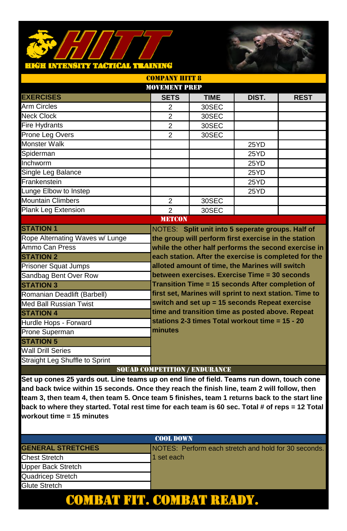### <mark>hiéh intansity taotical teaining</mark>



|                                 | <b>MOVEMENT PREP</b>                 |                                                         |       |                                                      |  |  |
|---------------------------------|--------------------------------------|---------------------------------------------------------|-------|------------------------------------------------------|--|--|
| <b>EXERCISES</b>                | <b>SETS</b>                          | <b>TIME</b>                                             | DIST. | <b>REST</b>                                          |  |  |
| Arm Circles                     | 2                                    | 30SEC                                                   |       |                                                      |  |  |
| <b>Neck Clock</b>               | $\overline{2}$                       | 30SEC                                                   |       |                                                      |  |  |
| <b>Fire Hydrants</b>            | 2                                    | 30SEC                                                   |       |                                                      |  |  |
| Prone Leg Overs                 | $\overline{2}$                       | 30SEC                                                   |       |                                                      |  |  |
| Monster Walk                    |                                      |                                                         | 25YD  |                                                      |  |  |
| Spiderman                       |                                      |                                                         | 25YD  |                                                      |  |  |
| Inchworm                        |                                      |                                                         | 25YD  |                                                      |  |  |
| Single Leg Balance              |                                      |                                                         | 25YD  |                                                      |  |  |
| Frankenstein                    |                                      |                                                         | 25YD  |                                                      |  |  |
| Lunge Elbow to Instep           |                                      |                                                         | 25YD  |                                                      |  |  |
| <b>Mountain Climbers</b>        | $\overline{2}$                       | 30SEC                                                   |       |                                                      |  |  |
| <b>Plank Leg Extension</b>      | $\overline{2}$                       | 30SEC                                                   |       |                                                      |  |  |
|                                 | <b>METCON</b>                        |                                                         |       |                                                      |  |  |
| <b>STATION 1</b>                |                                      | NOTES: Split unit into 5 seperate groups. Half of       |       |                                                      |  |  |
| Rope Alternating Waves w/ Lunge |                                      | the group will perform first exercise in the station    |       |                                                      |  |  |
| Ammo Can Press                  |                                      |                                                         |       | while the other half performs the second exercise in |  |  |
| <b>STATION 2</b>                |                                      | each station. After the exercise is completed for the   |       |                                                      |  |  |
| <b>Prisoner Squat Jumps</b>     |                                      | alloted amount of time, the Marines will switch         |       |                                                      |  |  |
| Sandbag Bent Over Row           |                                      | between exercises. Exercise Time = 30 seconds           |       |                                                      |  |  |
| <b>STATION 3</b>                |                                      | Transition Time = 15 seconds After completion of        |       |                                                      |  |  |
| Romanian Deadlift (Barbell)     |                                      | first set, Marines will sprint to next station. Time to |       |                                                      |  |  |
| Med Ball Russian Twist          |                                      | switch and set up = 15 seconds Repeat exercise          |       |                                                      |  |  |
| <b>STATION 4</b>                |                                      | time and transition time as posted above. Repeat        |       |                                                      |  |  |
| Hurdle Hops - Forward           |                                      | stations 2-3 times Total workout time = 15 - 20         |       |                                                      |  |  |
| Prone Superman                  | minutes                              |                                                         |       |                                                      |  |  |
| <b>STATION 5</b>                |                                      |                                                         |       |                                                      |  |  |
| Wall Drill Series               |                                      |                                                         |       |                                                      |  |  |
| Straight Leg Shuffle to Sprint  |                                      |                                                         |       |                                                      |  |  |
|                                 | <b>SQUAD COMPETITION / ENDURANCE</b> |                                                         |       |                                                      |  |  |

COMPANY HITT 8

| <b>COOL DOWN</b>         |                                                              |  |  |  |
|--------------------------|--------------------------------------------------------------|--|--|--|
| <b>GENERAL STRETCHES</b> | <b>INOTES: Perform each stretch and hold for 30 seconds.</b> |  |  |  |
| <b>Chest Stretch</b>     | 1 set each                                                   |  |  |  |
| Upper Back Stretch       |                                                              |  |  |  |
| Quadricep Stretch        |                                                              |  |  |  |
| <b>Glute Stretch</b>     |                                                              |  |  |  |
|                          |                                                              |  |  |  |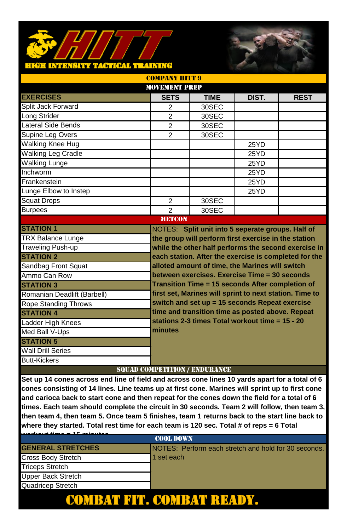### <mark>hkëh intensity tactical training</mark>



| <b>MOVEMENT PREP</b>        |                                      |                                                         |       |                                                      |  |
|-----------------------------|--------------------------------------|---------------------------------------------------------|-------|------------------------------------------------------|--|
| <b>EXERCISES</b>            | <b>SETS</b>                          | <b>TIME</b>                                             | DIST. | <b>REST</b>                                          |  |
| Split Jack Forward          | $\mathfrak{p}$                       | 30SEC                                                   |       |                                                      |  |
| Long Strider                | $\overline{2}$                       | 30SEC                                                   |       |                                                      |  |
| Lateral Side Bends          | $\overline{2}$                       | 30SEC                                                   |       |                                                      |  |
| Supine Leg Overs            | $\overline{2}$                       | 30SEC                                                   |       |                                                      |  |
| <b>Walking Knee Hug</b>     |                                      |                                                         | 25YD  |                                                      |  |
| <b>Walking Leg Cradle</b>   |                                      |                                                         | 25YD  |                                                      |  |
| <b>Walking Lunge</b>        |                                      |                                                         | 25YD  |                                                      |  |
| Inchworm                    |                                      |                                                         | 25YD  |                                                      |  |
| Frankenstein                |                                      |                                                         | 25YD  |                                                      |  |
| Lunge Elbow to Instep       |                                      |                                                         | 25YD  |                                                      |  |
| <b>Squat Drops</b>          | 2                                    | 30SEC                                                   |       |                                                      |  |
| <b>Burpees</b>              | $\mathcal{P}$                        | 30SEC                                                   |       |                                                      |  |
|                             | <b>METCON</b>                        |                                                         |       |                                                      |  |
| <b>STATION 1</b>            |                                      | NOTES: Split unit into 5 seperate groups. Half of       |       |                                                      |  |
| <b>TRX Balance Lunge</b>    |                                      | the group will perform first exercise in the station    |       |                                                      |  |
| <b>Traveling Push-up</b>    |                                      |                                                         |       | while the other half performs the second exercise in |  |
| <b>STATION 2</b>            |                                      | each station. After the exercise is completed for the   |       |                                                      |  |
| Sandbag Front Squat         |                                      | alloted amount of time, the Marines will switch         |       |                                                      |  |
| Ammo Can Row                |                                      | between exercises. Exercise Time = 30 seconds           |       |                                                      |  |
| <b>STATION 3</b>            |                                      | Transition Time = 15 seconds After completion of        |       |                                                      |  |
| Romanian Deadlift (Barbell) |                                      | first set, Marines will sprint to next station. Time to |       |                                                      |  |
| <b>Rope Standing Throws</b> |                                      | switch and set up = 15 seconds Repeat exercise          |       |                                                      |  |
| <b>STATION 4</b>            |                                      | time and transition time as posted above. Repeat        |       |                                                      |  |
| Ladder High Knees           |                                      | stations 2-3 times Total workout time = 15 - 20         |       |                                                      |  |
| Med Ball V-Ups              | minutes                              |                                                         |       |                                                      |  |
| <b>STATION 5</b>            |                                      |                                                         |       |                                                      |  |
| <b>Wall Drill Series</b>    |                                      |                                                         |       |                                                      |  |
| <b>Butt-Kickers</b>         |                                      |                                                         |       |                                                      |  |
|                             | <b>SQUAD COMPETITION / ENDURANCE</b> |                                                         |       |                                                      |  |

COMPANY HITT 9

| $\overline{AB}$ and a set $\overline{AB}$ |                                                      |  |  |  |
|-------------------------------------------|------------------------------------------------------|--|--|--|
| <b>COOL DOWN</b>                          |                                                      |  |  |  |
| <b>GENERAL STRETCHES</b>                  | NOTES: Perform each stretch and hold for 30 seconds. |  |  |  |
| Cross Body Stretch                        | 1 set each                                           |  |  |  |
| <b>Triceps Stretch</b>                    |                                                      |  |  |  |
| Upper Back Stretch                        |                                                      |  |  |  |
| Quadricep Stretch                         |                                                      |  |  |  |
|                                           |                                                      |  |  |  |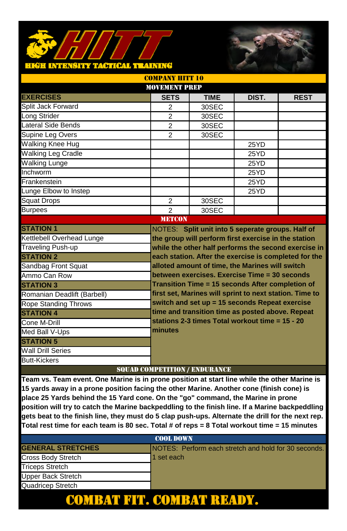### TACTICAL TEALNING **RTTERSITY**



| <b>MOVEMENT PREP</b>        |                                      |                                                         |       |                                                       |  |
|-----------------------------|--------------------------------------|---------------------------------------------------------|-------|-------------------------------------------------------|--|
| <b>EXERCISES</b>            | <b>SETS</b>                          | <b>TIME</b>                                             | DIST. | <b>REST</b>                                           |  |
| Split Jack Forward          | $\overline{2}$                       | 30SEC                                                   |       |                                                       |  |
| Long Strider                | $\overline{2}$                       | 30SEC                                                   |       |                                                       |  |
| Lateral Side Bends          | $\overline{2}$                       | 30SEC                                                   |       |                                                       |  |
| Supine Leg Overs            | $\overline{2}$                       | 30SEC                                                   |       |                                                       |  |
| <b>Walking Knee Hug</b>     |                                      |                                                         | 25YD  |                                                       |  |
| <b>Walking Leg Cradle</b>   |                                      |                                                         | 25YD  |                                                       |  |
| <b>Walking Lunge</b>        |                                      |                                                         | 25YD  |                                                       |  |
| Inchworm                    |                                      |                                                         | 25YD  |                                                       |  |
| Frankenstein                |                                      |                                                         | 25YD  |                                                       |  |
| Lunge Elbow to Instep       |                                      |                                                         | 25YD  |                                                       |  |
| <b>Squat Drops</b>          | $\overline{2}$                       | 30SEC                                                   |       |                                                       |  |
| <b>Burpees</b>              | $\overline{2}$                       | 30SEC                                                   |       |                                                       |  |
|                             | <b>METCON</b>                        |                                                         |       |                                                       |  |
| <b>STATION 1</b>            |                                      | NOTES: Split unit into 5 seperate groups. Half of       |       |                                                       |  |
| Kettlebell Overhead Lunge   |                                      | the group will perform first exercise in the station    |       |                                                       |  |
| <b>Traveling Push-up</b>    |                                      |                                                         |       | while the other half performs the second exercise in  |  |
| <b>STATION 2</b>            |                                      |                                                         |       | each station. After the exercise is completed for the |  |
| Sandbag Front Squat         |                                      | alloted amount of time, the Marines will switch         |       |                                                       |  |
| Ammo Can Row                |                                      | between exercises. Exercise Time = 30 seconds           |       |                                                       |  |
| <b>STATION 3</b>            |                                      | Transition Time = 15 seconds After completion of        |       |                                                       |  |
| Romanian Deadlift (Barbell) |                                      | first set, Marines will sprint to next station. Time to |       |                                                       |  |
| <b>Rope Standing Throws</b> |                                      | switch and set up = 15 seconds Repeat exercise          |       |                                                       |  |
| <b>STATION 4</b>            |                                      | time and transition time as posted above. Repeat        |       |                                                       |  |
| Cone M-Drill                |                                      | stations 2-3 times Total workout time = 15 - 20         |       |                                                       |  |
| Med Ball V-Ups              | minutes                              |                                                         |       |                                                       |  |
| <b>STATION 5</b>            |                                      |                                                         |       |                                                       |  |
| <b>Wall Drill Series</b>    |                                      |                                                         |       |                                                       |  |
| <b>Butt-Kickers</b>         |                                      |                                                         |       |                                                       |  |
|                             | <b>SOUAD COMPETITION / ENDURANCE</b> |                                                         |       |                                                       |  |

COMPANY HITT 10

# **Team vs. Team event. One Marine is in prone position at start line while the other Marine is**

**15 yards away in a prone position facing the other Marine. Another cone (finish cone) is place 25 Yards behind the 15 Yard cone. On the "go" command, the Marine in prone position will try to catch the Marine backpeddling to the finish line. If a Marine backpeddling gets beat to the finish line, they must do 5 clap push-ups. Alternate the drill for the next rep. Total rest time for each team is 80 sec. Total # of reps = 8 Total workout time = 15 minutes**

| <b>COOL DOWN</b>         |                                                      |  |  |  |
|--------------------------|------------------------------------------------------|--|--|--|
| <b>GENERAL STRETCHES</b> | NOTES: Perform each stretch and hold for 30 seconds. |  |  |  |
| Cross Body Stretch       | 1 set each                                           |  |  |  |
| <b>Triceps Stretch</b>   |                                                      |  |  |  |
| Upper Back Stretch       |                                                      |  |  |  |
| Quadricep Stretch        |                                                      |  |  |  |
|                          |                                                      |  |  |  |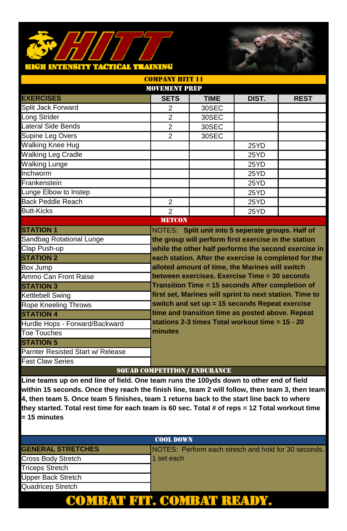### ictical teatring **TALE**



| <b>COMPANY HITT 11</b>            |                                      |                                                         |       |                                                       |  |
|-----------------------------------|--------------------------------------|---------------------------------------------------------|-------|-------------------------------------------------------|--|
| <b>MOVEMENT PREP</b>              |                                      |                                                         |       |                                                       |  |
| <b>EXERCISES</b>                  | <b>SETS</b>                          | <b>TIME</b>                                             | DIST. | <b>REST</b>                                           |  |
| Split Jack Forward                | 2                                    | 30SEC                                                   |       |                                                       |  |
| Long Strider                      | $\overline{2}$                       | 30SEC                                                   |       |                                                       |  |
| Lateral Side Bends                | $\mathfrak{p}$                       | 30SEC                                                   |       |                                                       |  |
| Supine Leg Overs                  | $\overline{2}$                       | 30SEC                                                   |       |                                                       |  |
| <b>Walking Knee Hug</b>           |                                      |                                                         | 25YD  |                                                       |  |
| <b>Walking Leg Cradle</b>         |                                      |                                                         | 25YD  |                                                       |  |
| <b>Walking Lunge</b>              |                                      |                                                         | 25YD  |                                                       |  |
| Inchworm                          |                                      |                                                         | 25YD  |                                                       |  |
| Frankenstein                      |                                      |                                                         | 25YD  |                                                       |  |
| Lunge Elbow to Instep             |                                      |                                                         | 25YD  |                                                       |  |
| Back Peddle Reach                 | $\overline{2}$                       |                                                         | 25YD  |                                                       |  |
| <b>Butt-Kicks</b>                 | $\overline{2}$                       |                                                         | 25YD  |                                                       |  |
|                                   | <b>METCON</b>                        |                                                         |       |                                                       |  |
| <b>STATION 1</b>                  |                                      | NOTES: Split unit into 5 seperate groups. Half of       |       |                                                       |  |
| Sandbag Rotational Lunge          |                                      | the group will perform first exercise in the station    |       |                                                       |  |
| Clap Push-up                      |                                      |                                                         |       | while the other half performs the second exercise in  |  |
| <b>STATION 2</b>                  |                                      |                                                         |       | each station. After the exercise is completed for the |  |
| Box Jump                          |                                      | alloted amount of time, the Marines will switch         |       |                                                       |  |
| Ammo Can Front Raise              |                                      | between exercises. Exercise Time = 30 seconds           |       |                                                       |  |
| <b>STATION 3</b>                  |                                      | Transition Time = 15 seconds After completion of        |       |                                                       |  |
| Kettlebell Swing                  |                                      | first set, Marines will sprint to next station. Time to |       |                                                       |  |
| <b>Rope Kneeling Throws</b>       |                                      | switch and set up = 15 seconds Repeat exercise          |       |                                                       |  |
| <b>STATION 4</b>                  |                                      | time and transition time as posted above. Repeat        |       |                                                       |  |
| Hurdle Hops - Forward/Backward    |                                      | stations 2-3 times Total workout time = 15 - 20         |       |                                                       |  |
| <b>Toe Touches</b>                | minutes                              |                                                         |       |                                                       |  |
| <b>STATION 5</b>                  |                                      |                                                         |       |                                                       |  |
| Parnter Resisted Start w/ Release |                                      |                                                         |       |                                                       |  |
| <b>Fast Claw Series</b>           |                                      |                                                         |       |                                                       |  |
|                                   | <b>SOUAD COMPETITION / ENDURANCE</b> |                                                         |       |                                                       |  |

| <b>COOL DOWN</b>         |                                                       |  |  |  |
|--------------------------|-------------------------------------------------------|--|--|--|
| <b>GENERAL STRETCHES</b> | INOTES: Perform each stretch and hold for 30 seconds. |  |  |  |
| Cross Body Stretch       | 1 set each                                            |  |  |  |
| <b>Triceps Stretch</b>   |                                                       |  |  |  |
| Upper Back Stretch       |                                                       |  |  |  |
| Quadricep Stretch        |                                                       |  |  |  |
| '. COMI                  |                                                       |  |  |  |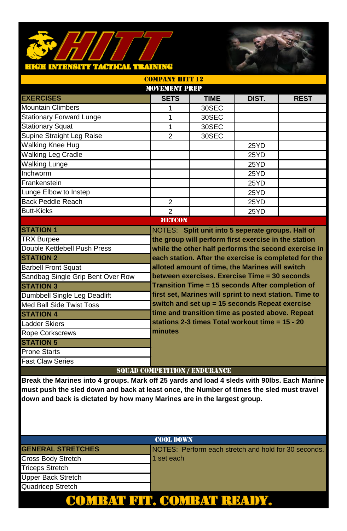#### **TACTICAL TRAINING** н Эн түрэд **U.S.**



| <b>COMPANY HITT 12</b>               |                |                                                         |       |                                                       |  |
|--------------------------------------|----------------|---------------------------------------------------------|-------|-------------------------------------------------------|--|
| <b>MOVEMENT PREP</b>                 |                |                                                         |       |                                                       |  |
| <b>EXERCISES</b>                     | <b>SETS</b>    | <b>TIME</b>                                             | DIST. | <b>REST</b>                                           |  |
| <b>Mountain Climbers</b>             | 1              | 30SEC                                                   |       |                                                       |  |
| <b>Stationary Forward Lunge</b>      | 1              | 30SEC                                                   |       |                                                       |  |
| <b>Stationary Squat</b>              | 1              | 30SEC                                                   |       |                                                       |  |
| Supine Straight Leg Raise            | $\overline{2}$ | 30SEC                                                   |       |                                                       |  |
| <b>Walking Knee Hug</b>              |                |                                                         | 25YD  |                                                       |  |
| <b>Walking Leg Cradle</b>            |                |                                                         | 25YD  |                                                       |  |
| <b>Walking Lunge</b>                 |                |                                                         | 25YD  |                                                       |  |
| Inchworm                             |                |                                                         | 25YD  |                                                       |  |
| Frankenstein                         |                |                                                         | 25YD  |                                                       |  |
| Lunge Elbow to Instep                |                |                                                         | 25YD  |                                                       |  |
| Back Peddle Reach                    | $\overline{2}$ |                                                         | 25YD  |                                                       |  |
| <b>Butt-Kicks</b>                    | $\mathfrak{p}$ |                                                         | 25YD  |                                                       |  |
|                                      | <b>METCON</b>  |                                                         |       |                                                       |  |
| <b>STATION 1</b>                     |                | NOTES: Split unit into 5 seperate groups. Half of       |       |                                                       |  |
| <b>TRX Burpee</b>                    |                | the group will perform first exercise in the station    |       |                                                       |  |
| Double Kettlebell Push Press         |                |                                                         |       | while the other half performs the second exercise in  |  |
| <b>STATION 2</b>                     |                |                                                         |       | each station. After the exercise is completed for the |  |
| <b>Barbell Front Squat</b>           |                | alloted amount of time, the Marines will switch         |       |                                                       |  |
| Sandbag Single Grip Bent Over Row    |                | between exercises. Exercise Time = 30 seconds           |       |                                                       |  |
| <b>STATION 3</b>                     |                | Transition Time = 15 seconds After completion of        |       |                                                       |  |
| Dumbbell Single Leg Deadlift         |                | first set, Marines will sprint to next station. Time to |       |                                                       |  |
| Med Ball Side Twist Toss             |                | switch and set up = 15 seconds Repeat exercise          |       |                                                       |  |
| <b>STATION 4</b>                     |                | time and transition time as posted above. Repeat        |       |                                                       |  |
| Ladder Skiers                        |                | stations 2-3 times Total workout time = 15 - 20         |       |                                                       |  |
| <b>Rope Corkscrews</b>               | minutes        |                                                         |       |                                                       |  |
| <b>STATION 5</b>                     |                |                                                         |       |                                                       |  |
| <b>Prone Starts</b>                  |                |                                                         |       |                                                       |  |
| <b>Fast Claw Series</b>              |                |                                                         |       |                                                       |  |
| <b>SQUAD COMPETITION / ENDURANCE</b> |                |                                                         |       |                                                       |  |

**Break the Marines into 4 groups. Mark off 25 yards and load 4 sleds with 90lbs. Each Marine must push the sled down and back at least once, the Number of times the sled must travel down and back is dictated by how many Marines are in the largest group.** 

### COOL DOWN **GENERAL STRETCHES** NOTES: Perform each stretch and hold for 30 seconds. Cross Body Stretch 1 set each Triceps Stretch Upper Back Stretch Quadricep Stretch COMBAT FIT. COMBAT READY.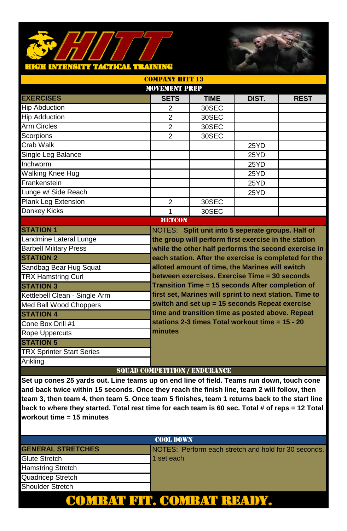### TACTICAL TEAINING **TALE**



| <b>COMPANY HITT 13</b>           |  |                |                                                         |       |                                                      |
|----------------------------------|--|----------------|---------------------------------------------------------|-------|------------------------------------------------------|
| <b>MOVEMENT PREP</b>             |  |                |                                                         |       |                                                      |
| <b>EXERCISES</b>                 |  | <b>SETS</b>    | <b>TIME</b>                                             | DIST. | <b>REST</b>                                          |
| <b>Hip Abduction</b>             |  | 2              | 30SEC                                                   |       |                                                      |
| <b>Hip Adduction</b>             |  | $\overline{2}$ | 30SEC                                                   |       |                                                      |
| <b>Arm Circles</b>               |  | $\mathfrak{p}$ | 30SEC                                                   |       |                                                      |
| Scorpions                        |  | $\overline{2}$ | 30SEC                                                   |       |                                                      |
| Crab Walk                        |  |                |                                                         | 25YD  |                                                      |
| Single Leg Balance               |  |                |                                                         | 25YD  |                                                      |
| Inchworm                         |  |                |                                                         | 25YD  |                                                      |
| Walking Knee Hug                 |  |                |                                                         | 25YD  |                                                      |
| Frankenstein                     |  |                |                                                         | 25YD  |                                                      |
| Lunge w/ Side Reach              |  |                |                                                         | 25YD  |                                                      |
| Plank Leg Extension              |  | $\overline{2}$ | 30SEC                                                   |       |                                                      |
| Donkey Kicks                     |  | 1              | 30SEC                                                   |       |                                                      |
|                                  |  | <b>METCON</b>  |                                                         |       |                                                      |
| <b>STATION 1</b>                 |  |                | NOTES: Split unit into 5 seperate groups. Half of       |       |                                                      |
| Landmine Lateral Lunge           |  |                | the group will perform first exercise in the station    |       |                                                      |
| <b>Barbell Military Press</b>    |  |                |                                                         |       | while the other half performs the second exercise in |
| <b>STATION 2</b>                 |  |                | each station. After the exercise is completed for the   |       |                                                      |
| Sandbag Bear Hug Squat           |  |                | alloted amount of time, the Marines will switch         |       |                                                      |
| <b>TRX Hamstring Curl</b>        |  |                | between exercises. Exercise Time = 30 seconds           |       |                                                      |
| <b>STATION 3</b>                 |  |                | Transition Time = 15 seconds After completion of        |       |                                                      |
| Kettlebell Clean - Single Arm    |  |                | first set, Marines will sprint to next station. Time to |       |                                                      |
| Med Ball Wood Choppers           |  |                | switch and set up = 15 seconds Repeat exercise          |       |                                                      |
| <b>STATION 4</b>                 |  |                | time and transition time as posted above. Repeat        |       |                                                      |
| Cone Box Drill #1                |  |                | stations 2-3 times Total workout time = 15 - 20         |       |                                                      |
| <b>Rope Uppercuts</b>            |  | minutes        |                                                         |       |                                                      |
| <b>STATION 5</b>                 |  |                |                                                         |       |                                                      |
| <b>TRX Sprinter Start Series</b> |  |                |                                                         |       |                                                      |
| Ankling                          |  |                |                                                         |       |                                                      |
|                                  |  |                | <b>SOUAD COMPETITION / ENDURANCE</b>                    |       |                                                      |

| <b>COOL DOWN</b>         |                                                      |  |  |  |
|--------------------------|------------------------------------------------------|--|--|--|
| <b>GENERAL STRETCHES</b> | NOTES: Perform each stretch and hold for 30 seconds. |  |  |  |
| <b>Glute Stretch</b>     | 1 set each                                           |  |  |  |
| <b>Hamstring Stretch</b> |                                                      |  |  |  |
| Quadricep Stretch        |                                                      |  |  |  |
| <b>Shoulder Stretch</b>  |                                                      |  |  |  |
|                          | COM                                                  |  |  |  |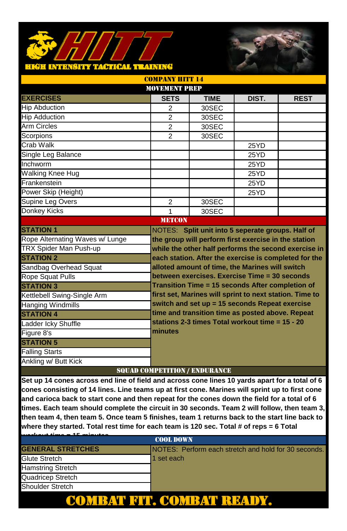### <mark>CTICAL TRAINING</mark> -30



| <b>COMPANY HITT 14</b>          |                                      |             |                                                         |                                                       |  |
|---------------------------------|--------------------------------------|-------------|---------------------------------------------------------|-------------------------------------------------------|--|
| <b>MOVEMENT PREP</b>            |                                      |             |                                                         |                                                       |  |
| <b>EXERCISES</b>                | <b>SETS</b>                          | <b>TIME</b> | DIST.                                                   | <b>REST</b>                                           |  |
| <b>Hip Abduction</b>            | 2                                    | 30SEC       |                                                         |                                                       |  |
| <b>Hip Adduction</b>            | $\overline{2}$                       | 30SEC       |                                                         |                                                       |  |
| <b>Arm Circles</b>              | $\mathfrak{p}$                       | 30SEC       |                                                         |                                                       |  |
| Scorpions                       | $\overline{2}$                       | 30SEC       |                                                         |                                                       |  |
| Crab Walk                       |                                      |             | 25YD                                                    |                                                       |  |
| Single Leg Balance              |                                      |             | 25YD                                                    |                                                       |  |
| Inchworm                        |                                      |             | 25YD                                                    |                                                       |  |
| <b>Walking Knee Hug</b>         |                                      |             | 25YD                                                    |                                                       |  |
| Frankenstein                    |                                      |             | 25YD                                                    |                                                       |  |
| Power Skip (Height)             |                                      |             | 25YD                                                    |                                                       |  |
| Supine Leg Overs                | $\overline{2}$                       | 30SEC       |                                                         |                                                       |  |
| Donkey Kicks                    | 1                                    | 30SEC       |                                                         |                                                       |  |
|                                 | <b>METCON</b>                        |             |                                                         |                                                       |  |
| <b>STATION 1</b>                |                                      |             | NOTES: Split unit into 5 seperate groups. Half of       |                                                       |  |
| Rope Alternating Waves w/ Lunge |                                      |             | the group will perform first exercise in the station    |                                                       |  |
| TRX Spider Man Push-up          |                                      |             |                                                         | while the other half performs the second exercise in  |  |
| <b>STATION 2</b>                |                                      |             |                                                         | each station. After the exercise is completed for the |  |
| Sandbag Overhead Squat          |                                      |             | alloted amount of time, the Marines will switch         |                                                       |  |
| <b>Rope Squat Pulls</b>         |                                      |             | between exercises. Exercise Time = 30 seconds           |                                                       |  |
| <b>STATION 3</b>                |                                      |             | Transition Time = 15 seconds After completion of        |                                                       |  |
| Kettlebell Swing-Single Arm     |                                      |             | first set, Marines will sprint to next station. Time to |                                                       |  |
| <b>Hanging Windmills</b>        |                                      |             | switch and set up = 15 seconds Repeat exercise          |                                                       |  |
| <b>STATION 4</b>                |                                      |             | time and transition time as posted above. Repeat        |                                                       |  |
| Ladder Icky Shuffle             |                                      |             | stations 2-3 times Total workout time = 15 - 20         |                                                       |  |
| Figure 8's                      | minutes                              |             |                                                         |                                                       |  |
| <b>STATION 5</b>                |                                      |             |                                                         |                                                       |  |
| <b>Falling Starts</b>           |                                      |             |                                                         |                                                       |  |
| Ankling w/ Butt Kick            |                                      |             |                                                         |                                                       |  |
|                                 | <b>SOUAD COMPETITION / ENDURANCE</b> |             |                                                         |                                                       |  |

| A.P. and an action of    |                                                      |  |
|--------------------------|------------------------------------------------------|--|
| <b>COOL DOWN</b>         |                                                      |  |
| <b>GENERAL STRETCHES</b> | NOTES: Perform each stretch and hold for 30 seconds. |  |
| Glute Stretch            | 1 set each                                           |  |
| <b>Hamstring Stretch</b> |                                                      |  |
| Quadricep Stretch        |                                                      |  |
| <b>Shoulder Stretch</b>  |                                                      |  |
|                          |                                                      |  |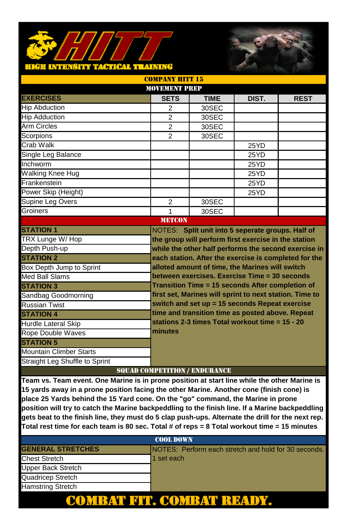#### TACITCAL TEATNING **TALE** u u t



| <b>COMPANY HITT 15</b>         |         |                |                                      |                                                         |                                                       |
|--------------------------------|---------|----------------|--------------------------------------|---------------------------------------------------------|-------------------------------------------------------|
| <b>MOVEMENT PREP</b>           |         |                |                                      |                                                         |                                                       |
| <b>EXERCISES</b>               |         | <b>SETS</b>    | <b>TIME</b>                          | DIST.                                                   | <b>REST</b>                                           |
| <b>Hip Abduction</b>           |         | 2              | 30SEC                                |                                                         |                                                       |
| <b>Hip Adduction</b>           |         | $\overline{2}$ | 30SEC                                |                                                         |                                                       |
| <b>Arm Circles</b>             |         | $\mathfrak{p}$ | 30SEC                                |                                                         |                                                       |
| Scorpions                      |         | $\overline{2}$ | 30SEC                                |                                                         |                                                       |
| Crab Walk                      |         |                |                                      | 25YD                                                    |                                                       |
| Single Leg Balance             |         |                |                                      | 25YD                                                    |                                                       |
| Inchworm                       |         |                |                                      | 25YD                                                    |                                                       |
| Walking Knee Hug               |         |                |                                      | 25YD                                                    |                                                       |
| Frankenstein                   |         |                |                                      | 25YD                                                    |                                                       |
| Power Skip (Height)            |         |                |                                      | 25YD                                                    |                                                       |
| Supine Leg Overs               |         | $\overline{2}$ | 30SEC                                |                                                         |                                                       |
| Groiners                       |         | 1              | 30SEC                                |                                                         |                                                       |
|                                |         | <b>METCON</b>  |                                      |                                                         |                                                       |
| <b>STATION 1</b>               |         |                |                                      | NOTES: Split unit into 5 seperate groups. Half of       |                                                       |
| TRX Lunge W/Hop                |         |                |                                      | the group will perform first exercise in the station    |                                                       |
| Depth Push-up                  |         |                |                                      |                                                         | while the other half performs the second exercise in  |
| <b>STATION 2</b>               |         |                |                                      |                                                         | each station. After the exercise is completed for the |
| Box Depth Jump to Sprint       |         |                |                                      | alloted amount of time, the Marines will switch         |                                                       |
| Med Ball Slams                 |         |                |                                      | between exercises. Exercise Time = 30 seconds           |                                                       |
| <b>STATION 3</b>               |         |                |                                      | Transition Time = 15 seconds After completion of        |                                                       |
| Sandbag Goodmorning            |         |                |                                      | first set, Marines will sprint to next station. Time to |                                                       |
| <b>Russian Twist</b>           |         |                |                                      | switch and set up = 15 seconds Repeat exercise          |                                                       |
| <b>STATION 4</b>               |         |                |                                      | time and transition time as posted above. Repeat        |                                                       |
| <b>Hurdle Lateral Skip</b>     |         |                |                                      | stations 2-3 times Total workout time = 15 - 20         |                                                       |
| <b>Rope Double Waves</b>       | minutes |                |                                      |                                                         |                                                       |
| <b>STATION 5</b>               |         |                |                                      |                                                         |                                                       |
| Mountain Climber Starts        |         |                |                                      |                                                         |                                                       |
| Straight Leg Shuffle to Sprint |         |                |                                      |                                                         |                                                       |
|                                |         |                | <b>SOUAD COMPETITION / ENDURANCE</b> |                                                         |                                                       |

**Team vs. Team event. One Marine is in prone position at start line while the other Marine is 15 yards away in a prone position facing the other Marine. Another cone (finish cone) is place 25 Yards behind the 15 Yard cone. On the "go" command, the Marine in prone position will try to catch the Marine backpeddling to the finish line. If a Marine backpeddling gets beat to the finish line, they must do 5 clap push-ups. Alternate the drill for the next rep. Total rest time for each team is 80 sec. Total # of reps = 8 Total workout time = 15 minutes**

### **GENERAL STRETCHES** NOTES: Perform each stretch and hold for 30 seconds. Chest Stretch 1 set each Upper Back Stretch Quadricep Stretch Hamstring Stretch COOL DOWN COMBAT FIT. COMBAT READY.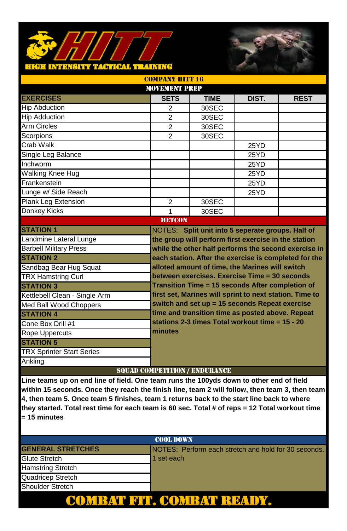### **TACTICAL TEATNING TALE**



| <b>COMPANY HITT 16</b>           |  |                |                                      |                                                         |                                                       |
|----------------------------------|--|----------------|--------------------------------------|---------------------------------------------------------|-------------------------------------------------------|
| <b>MOVEMENT PREP</b>             |  |                |                                      |                                                         |                                                       |
| <b>EXERCISES</b>                 |  | <b>SETS</b>    | <b>TIME</b>                          | DIST.                                                   | <b>REST</b>                                           |
| <b>Hip Abduction</b>             |  | 2              | 30SEC                                |                                                         |                                                       |
| <b>Hip Adduction</b>             |  | $\overline{2}$ | 30SEC                                |                                                         |                                                       |
| <b>Arm Circles</b>               |  | $\mathfrak{p}$ | 30SEC                                |                                                         |                                                       |
| Scorpions                        |  | $\overline{2}$ | 30SEC                                |                                                         |                                                       |
| Crab Walk                        |  |                |                                      | 25YD                                                    |                                                       |
| Single Leg Balance               |  |                |                                      | 25YD                                                    |                                                       |
| Inchworm                         |  |                |                                      | 25YD                                                    |                                                       |
| Walking Knee Hug                 |  |                |                                      | 25YD                                                    |                                                       |
| Frankenstein                     |  |                |                                      | 25YD                                                    |                                                       |
| Lunge w/ Side Reach              |  |                |                                      | 25YD                                                    |                                                       |
| Plank Leg Extension              |  | $\overline{2}$ | 30SEC                                |                                                         |                                                       |
| Donkey Kicks                     |  | 1              | 30SEC                                |                                                         |                                                       |
|                                  |  | <b>METCON</b>  |                                      |                                                         |                                                       |
| <b>STATION 1</b>                 |  |                |                                      | NOTES: Split unit into 5 seperate groups. Half of       |                                                       |
| Landmine Lateral Lunge           |  |                |                                      | the group will perform first exercise in the station    |                                                       |
| <b>Barbell Military Press</b>    |  |                |                                      |                                                         | while the other half performs the second exercise in  |
| <b>STATION 2</b>                 |  |                |                                      |                                                         | each station. After the exercise is completed for the |
| Sandbag Bear Hug Squat           |  |                |                                      | alloted amount of time, the Marines will switch         |                                                       |
| <b>TRX Hamstring Curl</b>        |  |                |                                      | between exercises. Exercise Time = 30 seconds           |                                                       |
| <b>STATION 3</b>                 |  |                |                                      | Transition Time = 15 seconds After completion of        |                                                       |
| Kettlebell Clean - Single Arm    |  |                |                                      | first set, Marines will sprint to next station. Time to |                                                       |
| Med Ball Wood Choppers           |  |                |                                      | switch and set up = 15 seconds Repeat exercise          |                                                       |
| <b>STATION 4</b>                 |  |                |                                      | time and transition time as posted above. Repeat        |                                                       |
| Cone Box Drill #1                |  |                |                                      | stations 2-3 times Total workout time = 15 - 20         |                                                       |
| <b>Rope Uppercuts</b>            |  | minutes        |                                      |                                                         |                                                       |
| <b>STATION 5</b>                 |  |                |                                      |                                                         |                                                       |
| <b>TRX Sprinter Start Series</b> |  |                |                                      |                                                         |                                                       |
| Ankling                          |  |                |                                      |                                                         |                                                       |
|                                  |  |                | <b>SOUAD COMPETITION / ENDURANCE</b> |                                                         |                                                       |

| <b>COOL DOWN</b>         |                                                      |  |
|--------------------------|------------------------------------------------------|--|
| <b>GENERAL STRETCHES</b> | NOTES: Perform each stretch and hold for 30 seconds. |  |
| Glute Stretch            | 1 set each                                           |  |
| <b>Hamstring Stretch</b> |                                                      |  |
| Quadricep Stretch        |                                                      |  |
| Shoulder Stretch         |                                                      |  |
|                          |                                                      |  |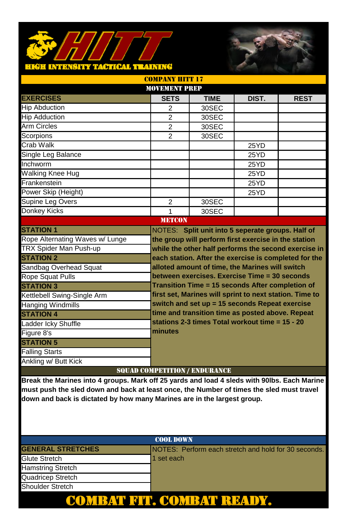#### **TACTICAL TRAINING** нен күрк H B Y



| <b>COMPANY HITT 17</b>                                                                             |                                      |                                                         |       |                                                      |
|----------------------------------------------------------------------------------------------------|--------------------------------------|---------------------------------------------------------|-------|------------------------------------------------------|
| MOVEMENT PREP                                                                                      |                                      |                                                         |       |                                                      |
| <b>EXERCISES</b>                                                                                   | <b>SETS</b>                          | <b>TIME</b>                                             | DIST. | <b>REST</b>                                          |
| <b>Hip Abduction</b>                                                                               | 2                                    | 30SEC                                                   |       |                                                      |
| <b>Hip Adduction</b>                                                                               | 2                                    | 30SEC                                                   |       |                                                      |
| Arm Circles                                                                                        | $\overline{2}$                       | 30SEC                                                   |       |                                                      |
| Scorpions                                                                                          | $\overline{2}$                       | 30SEC                                                   |       |                                                      |
| Crab Walk                                                                                          |                                      |                                                         | 25YD  |                                                      |
| Single Leg Balance                                                                                 |                                      |                                                         | 25YD  |                                                      |
| Inchworm                                                                                           |                                      |                                                         | 25YD  |                                                      |
| Walking Knee Hug                                                                                   |                                      |                                                         | 25YD  |                                                      |
| Frankenstein                                                                                       |                                      |                                                         | 25YD  |                                                      |
| Power Skip (Height)                                                                                |                                      |                                                         | 25YD  |                                                      |
| Supine Leg Overs                                                                                   | $\overline{2}$                       | 30SEC                                                   |       |                                                      |
| <b>Donkey Kicks</b>                                                                                | $\mathbf{1}$                         | 30SEC                                                   |       |                                                      |
|                                                                                                    | <b>METCON</b>                        |                                                         |       |                                                      |
| <b>STATION 1</b>                                                                                   |                                      | NOTES: Split unit into 5 seperate groups. Half of       |       |                                                      |
| Rope Alternating Waves w/ Lunge                                                                    |                                      | the group will perform first exercise in the station    |       |                                                      |
| TRX Spider Man Push-up                                                                             |                                      |                                                         |       | while the other half performs the second exercise in |
| <b>STATION 2</b>                                                                                   |                                      | each station. After the exercise is completed for the   |       |                                                      |
| Sandbag Overhead Squat                                                                             |                                      | alloted amount of time, the Marines will switch         |       |                                                      |
| <b>Rope Squat Pulls</b>                                                                            |                                      | between exercises. Exercise Time = 30 seconds           |       |                                                      |
| <b>STATION 3</b>                                                                                   |                                      | Transition Time = 15 seconds After completion of        |       |                                                      |
| Kettlebell Swing-Single Arm                                                                        |                                      | first set, Marines will sprint to next station. Time to |       |                                                      |
| <b>Hanging Windmills</b>                                                                           |                                      | switch and set up = 15 seconds Repeat exercise          |       |                                                      |
| <b>STATION 4</b>                                                                                   |                                      | time and transition time as posted above. Repeat        |       |                                                      |
| Ladder Icky Shuffle                                                                                |                                      | stations 2-3 times Total workout time = 15 - 20         |       |                                                      |
| Figure 8's                                                                                         | minutes                              |                                                         |       |                                                      |
| <b>STATION 5</b>                                                                                   |                                      |                                                         |       |                                                      |
| <b>Falling Starts</b>                                                                              |                                      |                                                         |       |                                                      |
| Ankling w/ Butt Kick                                                                               |                                      |                                                         |       |                                                      |
|                                                                                                    | <b>SQUAD COMPETITION / ENDURANCE</b> |                                                         |       |                                                      |
| <b>Drook the Merines into A groupe, Mark off 35 varde and lead A clode with 00lbs. Each Merine</b> |                                      |                                                         |       |                                                      |

**Break the Marines into 4 groups. Mark off 25 yards and load 4 sleds with 90lbs. Each Marine must push the sled down and back at least once, the Number of times the sled must travel down and back is dictated by how many Marines are in the largest group.** 

# **GENERAL STRETCHES** NOTES: Perform each stretch and hold for 30 seconds. Glute Stretch 1 set each Hamstring Stretch Quadricep Stretch Shoulder Stretch COOL DOWN COMBAT FIT. COMBAT READY.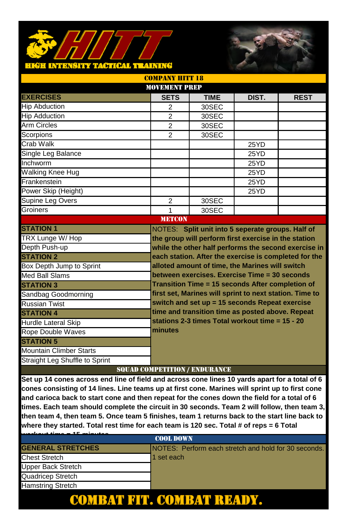### <mark>hkëh intensity tactical training</mark>



| <b>MOVEMENT PREP</b>           |                                      |                                                         |       |             |
|--------------------------------|--------------------------------------|---------------------------------------------------------|-------|-------------|
| <b>EXERCISES</b>               | <b>SETS</b>                          | <b>TIME</b>                                             | DIST. | <b>REST</b> |
| <b>Hip Abduction</b>           | $\overline{2}$                       | 30SEC                                                   |       |             |
| <b>Hip Adduction</b>           | 2                                    | 30SEC                                                   |       |             |
| <b>Arm Circles</b>             | $\overline{2}$                       | 30SEC                                                   |       |             |
| Scorpions                      | $\overline{2}$                       | 30SEC                                                   |       |             |
| Crab Walk                      |                                      |                                                         | 25YD  |             |
| Single Leg Balance             |                                      |                                                         | 25YD  |             |
| Inchworm                       |                                      |                                                         | 25YD  |             |
| <b>Walking Knee Hug</b>        |                                      |                                                         | 25YD  |             |
| Frankenstein                   |                                      |                                                         | 25YD  |             |
| Power Skip (Height)            |                                      |                                                         | 25YD  |             |
| Supine Leg Overs               | $\overline{2}$                       | 30SEC                                                   |       |             |
| Groiners                       | 1                                    | 30SEC                                                   |       |             |
|                                | <b>METCON</b>                        |                                                         |       |             |
| <b>STATION 1</b>               |                                      | NOTES: Split unit into 5 seperate groups. Half of       |       |             |
| TRX Lunge W/Hop                |                                      | the group will perform first exercise in the station    |       |             |
| Depth Push-up                  |                                      | while the other half performs the second exercise in    |       |             |
| <b>STATION 2</b>               |                                      | each station. After the exercise is completed for the   |       |             |
| Box Depth Jump to Sprint       |                                      | alloted amount of time, the Marines will switch         |       |             |
| Med Ball Slams                 |                                      | between exercises. Exercise Time = 30 seconds           |       |             |
| <b>STATION 3</b>               |                                      | Transition Time = 15 seconds After completion of        |       |             |
| Sandbag Goodmorning            |                                      | first set, Marines will sprint to next station. Time to |       |             |
| <b>Russian Twist</b>           |                                      | switch and set up = 15 seconds Repeat exercise          |       |             |
| <b>STATION 4</b>               |                                      | time and transition time as posted above. Repeat        |       |             |
| Hurdle Lateral Skip            |                                      | stations 2-3 times Total workout time = 15 - 20         |       |             |
| <b>Rope Double Waves</b>       | minutes                              |                                                         |       |             |
| <b>STATION 5</b>               |                                      |                                                         |       |             |
| <b>Mountain Climber Starts</b> |                                      |                                                         |       |             |
| Straight Leg Shuffle to Sprint |                                      |                                                         |       |             |
|                                | <b>SOUAD COMPETITION / ENDURANCE</b> |                                                         |       |             |

COMPANY HITT 18

| <b>AF</b> activities<br>مرجعته فتنسباه منتب |                                                      |  |
|---------------------------------------------|------------------------------------------------------|--|
| <b>COOL DOWN</b>                            |                                                      |  |
| <b>GENERAL STRETCHES</b>                    | NOTES: Perform each stretch and hold for 30 seconds. |  |
| <b>Chest Stretch</b>                        | 1 set each                                           |  |
| Upper Back Stretch                          |                                                      |  |
| Quadricep Stretch                           |                                                      |  |
| <b>Hamstring Stretch</b>                    |                                                      |  |
|                                             |                                                      |  |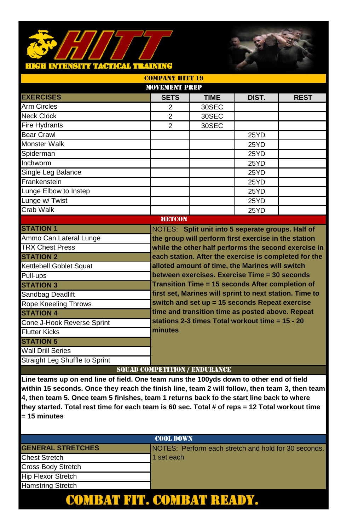### **TACTICAL TRAINING INTERNETTE**



| <b>MOVEMENT PREP</b>           |                                      |                                                                                                              |       |                                                       |
|--------------------------------|--------------------------------------|--------------------------------------------------------------------------------------------------------------|-------|-------------------------------------------------------|
| <b>EXERCISES</b>               | <b>SETS</b>                          | <b>TIME</b>                                                                                                  | DIST. | <b>REST</b>                                           |
| Arm Circles                    | $\overline{2}$                       | 30SEC                                                                                                        |       |                                                       |
| <b>Neck Clock</b>              | $\mathfrak{p}$                       | 30SEC                                                                                                        |       |                                                       |
| <b>Fire Hydrants</b>           | $\mathfrak{p}$                       | 30SEC                                                                                                        |       |                                                       |
| <b>Bear Crawl</b>              |                                      |                                                                                                              | 25YD  |                                                       |
| Monster Walk                   |                                      |                                                                                                              | 25YD  |                                                       |
| Spiderman                      |                                      |                                                                                                              | 25YD  |                                                       |
| Inchworm                       |                                      |                                                                                                              | 25YD  |                                                       |
| Single Leg Balance             |                                      |                                                                                                              | 25YD  |                                                       |
| Frankenstein                   |                                      |                                                                                                              | 25YD  |                                                       |
| Lunge Elbow to Instep          |                                      |                                                                                                              | 25YD  |                                                       |
| Lunge w/ Twist                 |                                      |                                                                                                              | 25YD  |                                                       |
| Crab Walk                      |                                      |                                                                                                              | 25YD  |                                                       |
|                                | <b>METCON</b>                        |                                                                                                              |       |                                                       |
| <b>STATION 1</b>               |                                      | NOTES: Split unit into 5 seperate groups. Half of                                                            |       |                                                       |
| Ammo Can Lateral Lunge         |                                      | the group will perform first exercise in the station<br>while the other half performs the second exercise in |       |                                                       |
| <b>TRX Chest Press</b>         |                                      |                                                                                                              |       |                                                       |
| <b>STATION 2</b>               |                                      |                                                                                                              |       | each station. After the exercise is completed for the |
| Kettlebell Goblet Squat        |                                      | alloted amount of time, the Marines will switch                                                              |       |                                                       |
| Pull-ups                       |                                      | between exercises. Exercise Time = 30 seconds                                                                |       |                                                       |
| <b>STATION 3</b>               |                                      | Transition Time = 15 seconds After completion of                                                             |       |                                                       |
| Sandbag Deadlift               |                                      | first set, Marines will sprint to next station. Time to                                                      |       |                                                       |
| <b>Rope Kneeling Throws</b>    |                                      | switch and set up = 15 seconds Repeat exercise                                                               |       |                                                       |
| <b>STATION 4</b>               |                                      | time and transition time as posted above. Repeat                                                             |       |                                                       |
| Cone J-Hook Reverse Sprint     |                                      | stations 2-3 times Total workout time = 15 - 20                                                              |       |                                                       |
| <b>Flutter Kicks</b>           | minutes                              |                                                                                                              |       |                                                       |
| <b>STATION 5</b>               |                                      |                                                                                                              |       |                                                       |
| <b>Wall Drill Series</b>       |                                      |                                                                                                              |       |                                                       |
| Straight Leg Shuffle to Sprint |                                      |                                                                                                              |       |                                                       |
|                                | <b>SOUAD COMPETITION / ENDURANCE</b> |                                                                                                              |       |                                                       |

COMPANY HITT 19

| <b>COOL DOWN</b>          |                                                              |  |
|---------------------------|--------------------------------------------------------------|--|
| <b>GENERAL STRETCHES</b>  | <b>INOTES: Perform each stretch and hold for 30 seconds.</b> |  |
| <b>Chest Stretch</b>      | 1 set each                                                   |  |
| Cross Body Stretch        |                                                              |  |
| <b>Hip Flexor Stretch</b> |                                                              |  |
| <b>Hamstring Stretch</b>  |                                                              |  |
|                           |                                                              |  |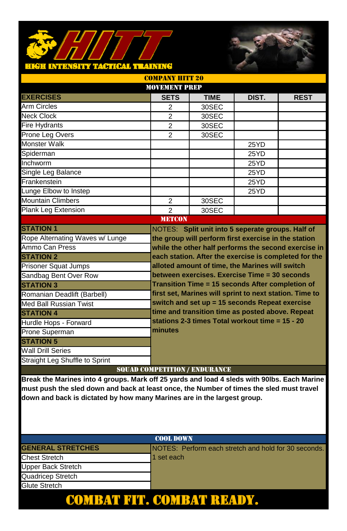# HIGH INTENSITY TAGTICAL IT AINING



|                                                                                             | <b>MOVEMENT PREP</b> |                                                                                                   |       |             |
|---------------------------------------------------------------------------------------------|----------------------|---------------------------------------------------------------------------------------------------|-------|-------------|
| <b>EXERCISES</b>                                                                            | <b>SETS</b>          | <b>TIME</b>                                                                                       | DIST. | <b>REST</b> |
| Arm Circles                                                                                 | $\overline{2}$       | 30SEC                                                                                             |       |             |
| <b>Neck Clock</b>                                                                           | $\mathfrak{p}$       | 30SEC                                                                                             |       |             |
| <b>Fire Hydrants</b>                                                                        | $\overline{2}$       | 30SEC                                                                                             |       |             |
| Prone Leg Overs                                                                             | $\overline{2}$       | 30SEC                                                                                             |       |             |
| <b>Monster Walk</b>                                                                         |                      |                                                                                                   | 25YD  |             |
| Spiderman                                                                                   |                      |                                                                                                   | 25YD  |             |
| Inchworm                                                                                    |                      |                                                                                                   | 25YD  |             |
| Single Leg Balance                                                                          |                      |                                                                                                   | 25YD  |             |
| Frankenstein                                                                                |                      |                                                                                                   | 25YD  |             |
| Lunge Elbow to Instep                                                                       |                      |                                                                                                   | 25YD  |             |
| <b>Mountain Climbers</b>                                                                    | $\overline{2}$       | 30SEC                                                                                             |       |             |
| Plank Leg Extension                                                                         | $\mathcal{P}$        | 30SEC                                                                                             |       |             |
|                                                                                             | <b>METCON</b>        |                                                                                                   |       |             |
| <b>STATION 1</b>                                                                            |                      | NOTES: Split unit into 5 seperate groups. Half of                                                 |       |             |
| Rope Alternating Waves w/ Lunge                                                             |                      | the group will perform first exercise in the station                                              |       |             |
| Ammo Can Press                                                                              |                      | while the other half performs the second exercise in                                              |       |             |
| <b>STATION 2</b>                                                                            |                      | each station. After the exercise is completed for the                                             |       |             |
| <b>Prisoner Squat Jumps</b>                                                                 |                      | alloted amount of time, the Marines will switch                                                   |       |             |
| Sandbag Bent Over Row                                                                       |                      | between exercises. Exercise Time = 30 seconds<br>Transition Time = 15 seconds After completion of |       |             |
| <b>STATION 3</b>                                                                            |                      |                                                                                                   |       |             |
| Romanian Deadlift (Barbell)                                                                 |                      | first set, Marines will sprint to next station. Time to                                           |       |             |
| <b>Med Ball Russian Twist</b>                                                               |                      | switch and set up = 15 seconds Repeat exercise                                                    |       |             |
| <b>STATION 4</b>                                                                            |                      | time and transition time as posted above. Repeat                                                  |       |             |
| Hurdle Hops - Forward                                                                       |                      | stations 2-3 times Total workout time = 15 - 20                                                   |       |             |
| Prone Superman                                                                              | minutes              |                                                                                                   |       |             |
| <b>STATION 5</b>                                                                            |                      |                                                                                                   |       |             |
| <b>Wall Drill Series</b>                                                                    |                      |                                                                                                   |       |             |
| Straight Leg Shuffle to Sprint                                                              |                      |                                                                                                   |       |             |
|                                                                                             |                      | <b>SQUAD COMPETITION / ENDURANCE</b>                                                              |       |             |
| Break the Marines into 4 groups. Mark off 25 yards and load 4 sleds with 90lbs. Each Marine |                      |                                                                                                   |       |             |

COMPANY HITT 20

**must push the sled down and back at least once, the Number of times the sled must travel down and back is dictated by how many Marines are in the largest group.** 

# COOL DOWN **GENERAL STRETCHES** NOTES: Perform each stretch and hold for 30 seconds. Chest Stretch 1 set each Upper Back Stretch Quadricep Stretch Glute Stretch COMBAT FIT. COMBAT READY.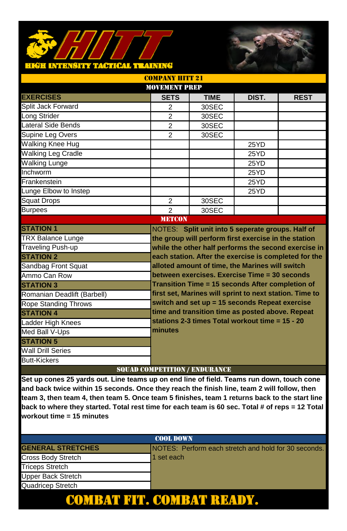### **TACTICAL TRAINING INTERSITY**



| <b>MOVEMENT PREP</b>        |                                      |                                                         |       |                                                      |
|-----------------------------|--------------------------------------|---------------------------------------------------------|-------|------------------------------------------------------|
| <b>EXERCISES</b>            | <b>SETS</b>                          | <b>TIME</b>                                             | DIST. | <b>REST</b>                                          |
| Split Jack Forward          | 2                                    | 30SEC                                                   |       |                                                      |
| Long Strider                | $\overline{2}$                       | 30SEC                                                   |       |                                                      |
| Lateral Side Bends          | $\overline{2}$                       | 30SEC                                                   |       |                                                      |
| Supine Leg Overs            | $\overline{2}$                       | 30SEC                                                   |       |                                                      |
| <b>Walking Knee Hug</b>     |                                      |                                                         | 25YD  |                                                      |
| <b>Walking Leg Cradle</b>   |                                      |                                                         | 25YD  |                                                      |
| <b>Walking Lunge</b>        |                                      |                                                         | 25YD  |                                                      |
| Inchworm                    |                                      |                                                         | 25YD  |                                                      |
| Frankenstein                |                                      |                                                         | 25YD  |                                                      |
| Lunge Elbow to Instep       |                                      |                                                         | 25YD  |                                                      |
| <b>Squat Drops</b>          | 2                                    | 30SEC                                                   |       |                                                      |
| <b>Burpees</b>              | $\mathfrak{p}$                       | 30SEC                                                   |       |                                                      |
|                             | <b>METCON</b>                        |                                                         |       |                                                      |
| <b>STATION 1</b>            |                                      | NOTES: Split unit into 5 seperate groups. Half of       |       |                                                      |
| <b>TRX Balance Lunge</b>    |                                      | the group will perform first exercise in the station    |       |                                                      |
| <b>Traveling Push-up</b>    |                                      |                                                         |       | while the other half performs the second exercise in |
| <b>STATION 2</b>            |                                      | each station. After the exercise is completed for the   |       |                                                      |
| Sandbag Front Squat         |                                      | alloted amount of time, the Marines will switch         |       |                                                      |
| Ammo Can Row                |                                      | between exercises. Exercise Time = 30 seconds           |       |                                                      |
| <b>STATION 3</b>            |                                      | Transition Time = 15 seconds After completion of        |       |                                                      |
| Romanian Deadlift (Barbell) |                                      | first set, Marines will sprint to next station. Time to |       |                                                      |
| <b>Rope Standing Throws</b> |                                      | switch and set up = 15 seconds Repeat exercise          |       |                                                      |
| <b>STATION 4</b>            |                                      | time and transition time as posted above. Repeat        |       |                                                      |
| Ladder High Knees           |                                      | stations 2-3 times Total workout time = 15 - 20         |       |                                                      |
| Med Ball V-Ups              | minutes                              |                                                         |       |                                                      |
| <b>STATION 5</b>            |                                      |                                                         |       |                                                      |
| <b>Wall Drill Series</b>    |                                      |                                                         |       |                                                      |
| <b>Butt-Kickers</b>         |                                      |                                                         |       |                                                      |
|                             | <b>SOUAD COMPETITION / ENDURANCE</b> |                                                         |       |                                                      |

IV IIITT 91

| <b>COOL DOWN</b>          |                                                      |  |
|---------------------------|------------------------------------------------------|--|
| <b>GENERAL STRETCHES</b>  | NOTES: Perform each stretch and hold for 30 seconds. |  |
| Cross Body Stretch        | 1 set each                                           |  |
| <b>Triceps Stretch</b>    |                                                      |  |
| <b>Upper Back Stretch</b> |                                                      |  |
| Quadricep Stretch         |                                                      |  |
|                           |                                                      |  |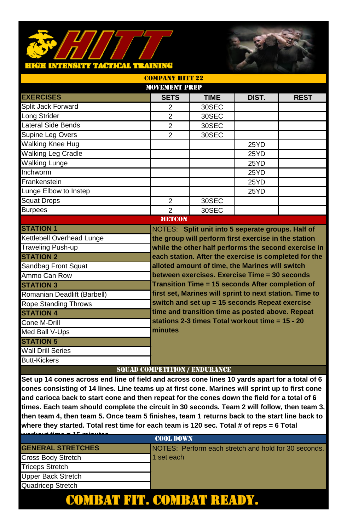### <mark>hkëh intensity tactical training</mark>



|                             | <b>MOVEMENT PREP</b>                 |                                                         |       |             |  |
|-----------------------------|--------------------------------------|---------------------------------------------------------|-------|-------------|--|
| <b>EXERCISES</b>            | <b>SETS</b>                          | <b>TIME</b>                                             | DIST. | <b>REST</b> |  |
| Split Jack Forward          | 2                                    | 30SEC                                                   |       |             |  |
| Long Strider                | $\overline{2}$                       | 30SEC                                                   |       |             |  |
| Lateral Side Bends          | $\overline{2}$                       | 30SEC                                                   |       |             |  |
| Supine Leg Overs            | 2                                    | 30SEC                                                   |       |             |  |
| <b>Walking Knee Hug</b>     |                                      |                                                         | 25YD  |             |  |
| <b>Walking Leg Cradle</b>   |                                      |                                                         | 25YD  |             |  |
| <b>Walking Lunge</b>        |                                      |                                                         | 25YD  |             |  |
| Inchworm                    |                                      |                                                         | 25YD  |             |  |
| Frankenstein                |                                      |                                                         | 25YD  |             |  |
| Lunge Elbow to Instep       |                                      |                                                         | 25YD  |             |  |
| <b>Squat Drops</b>          | $\overline{2}$                       | 30SEC                                                   |       |             |  |
| <b>Burpees</b>              | $\mathfrak{p}$                       | 30SEC                                                   |       |             |  |
|                             | <b>METCON</b>                        |                                                         |       |             |  |
| <b>STATION 1</b>            |                                      | NOTES: Split unit into 5 seperate groups. Half of       |       |             |  |
| Kettlebell Overhead Lunge   |                                      | the group will perform first exercise in the station    |       |             |  |
| <b>Traveling Push-up</b>    |                                      | while the other half performs the second exercise in    |       |             |  |
| <b>STATION 2</b>            |                                      | each station. After the exercise is completed for the   |       |             |  |
| Sandbag Front Squat         |                                      | alloted amount of time, the Marines will switch         |       |             |  |
| Ammo Can Row                |                                      | between exercises. Exercise Time = 30 seconds           |       |             |  |
| <b>STATION 3</b>            |                                      | Transition Time = 15 seconds After completion of        |       |             |  |
| Romanian Deadlift (Barbell) |                                      | first set, Marines will sprint to next station. Time to |       |             |  |
| <b>Rope Standing Throws</b> |                                      | switch and set up = 15 seconds Repeat exercise          |       |             |  |
| <b>STATION 4</b>            |                                      | time and transition time as posted above. Repeat        |       |             |  |
| Cone M-Drill                |                                      | stations 2-3 times Total workout time = 15 - 20         |       |             |  |
| Med Ball V-Ups              | minutes                              |                                                         |       |             |  |
| <b>STATION 5</b>            |                                      |                                                         |       |             |  |
| <b>Wall Drill Series</b>    |                                      |                                                         |       |             |  |
| <b>Butt-Kickers</b>         |                                      |                                                         |       |             |  |
|                             | <b>SOUAD COMPETITION / ENDURANCE</b> |                                                         |       |             |  |

COMPANY HITT 22

| <b>AF</b> activities     |                                                      |  |  |  |
|--------------------------|------------------------------------------------------|--|--|--|
| <b>COOL DOWN</b>         |                                                      |  |  |  |
| <b>GENERAL STRETCHES</b> | NOTES: Perform each stretch and hold for 30 seconds. |  |  |  |
| Cross Body Stretch       | 1 set each                                           |  |  |  |
| <b>Triceps Stretch</b>   |                                                      |  |  |  |
| Upper Back Stretch       |                                                      |  |  |  |
| Quadricep Stretch        |                                                      |  |  |  |
|                          |                                                      |  |  |  |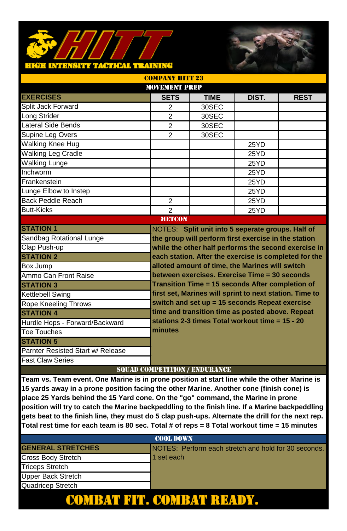### **TACTICAL TRAINING** HIGH INTRNSITY



| <b>MOVEMENT PREP</b>              |                                                         |                                                                                                              |       |             |
|-----------------------------------|---------------------------------------------------------|--------------------------------------------------------------------------------------------------------------|-------|-------------|
| <b>EXERCISES</b>                  | <b>SETS</b>                                             | <b>TIME</b>                                                                                                  | DIST. | <b>REST</b> |
| Split Jack Forward                | 2                                                       | 30SEC                                                                                                        |       |             |
| Long Strider                      | $\overline{2}$                                          | 30SEC                                                                                                        |       |             |
| Lateral Side Bends                | $\mathfrak{p}$                                          | 30SEC                                                                                                        |       |             |
| Supine Leg Overs                  | $\overline{2}$                                          | 30SEC                                                                                                        |       |             |
| <b>Walking Knee Hug</b>           |                                                         |                                                                                                              | 25YD  |             |
| <b>Walking Leg Cradle</b>         |                                                         |                                                                                                              | 25YD  |             |
| <b>Walking Lunge</b>              |                                                         |                                                                                                              | 25YD  |             |
| Inchworm                          |                                                         |                                                                                                              | 25YD  |             |
| Frankenstein                      |                                                         |                                                                                                              | 25YD  |             |
| Lunge Elbow to Instep             |                                                         |                                                                                                              | 25YD  |             |
| Back Peddle Reach                 | 2                                                       |                                                                                                              | 25YD  |             |
| <b>Butt-Kicks</b>                 | $\mathfrak{p}$                                          |                                                                                                              | 25YD  |             |
|                                   | <b>METCON</b>                                           |                                                                                                              |       |             |
| <b>STATION 1</b>                  |                                                         | NOTES: Split unit into 5 seperate groups. Half of                                                            |       |             |
| Sandbag Rotational Lunge          |                                                         | the group will perform first exercise in the station<br>while the other half performs the second exercise in |       |             |
| Clap Push-up                      |                                                         |                                                                                                              |       |             |
| <b>STATION 2</b>                  |                                                         | each station. After the exercise is completed for the                                                        |       |             |
| Box Jump                          |                                                         | alloted amount of time, the Marines will switch                                                              |       |             |
| Ammo Can Front Raise              |                                                         | between exercises. Exercise Time = 30 seconds                                                                |       |             |
| <b>STATION 3</b>                  | Transition Time = 15 seconds After completion of        |                                                                                                              |       |             |
| Kettlebell Swing                  | first set, Marines will sprint to next station. Time to |                                                                                                              |       |             |
| Rope Kneeling Throws              |                                                         | switch and set up = 15 seconds Repeat exercise                                                               |       |             |
| <b>STATION 4</b>                  |                                                         | time and transition time as posted above. Repeat                                                             |       |             |
| Hurdle Hops - Forward/Backward    |                                                         | stations 2-3 times Total workout time = 15 - 20                                                              |       |             |
| Toe Touches                       | minutes                                                 |                                                                                                              |       |             |
| <b>STATION 5</b>                  |                                                         |                                                                                                              |       |             |
| Parnter Resisted Start w/ Release |                                                         |                                                                                                              |       |             |
| <b>Fast Claw Series</b>           | CARTAIN CONFINISHMED AND I FRIDEIT A RICH.              |                                                                                                              |       |             |

COMPANY HITT 99

### SQUAD COMPETITION / ENDURANCE

**Team vs. Team event. One Marine is in prone position at start line while the other Marine is 15 yards away in a prone position facing the other Marine. Another cone (finish cone) is place 25 Yards behind the 15 Yard cone. On the "go" command, the Marine in prone position will try to catch the Marine backpeddling to the finish line. If a Marine backpeddling gets beat to the finish line, they must do 5 clap push-ups. Alternate the drill for the next rep. Total rest time for each team is 80 sec. Total # of reps = 8 Total workout time = 15 minutes**

| <b>COOL DOWN</b>         |                                                      |  |  |  |
|--------------------------|------------------------------------------------------|--|--|--|
| <b>GENERAL STRETCHES</b> | NOTES: Perform each stretch and hold for 30 seconds. |  |  |  |
| Cross Body Stretch       | 1 set each                                           |  |  |  |
| <b>Triceps Stretch</b>   |                                                      |  |  |  |
| Upper Back Stretch       |                                                      |  |  |  |
| Quadricep Stretch        |                                                      |  |  |  |
|                          |                                                      |  |  |  |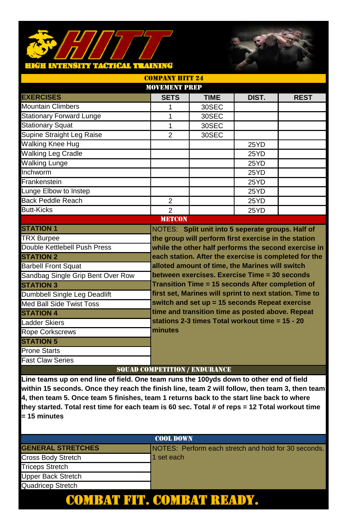#### TACTICAL TEATNING н күрэл ш.

| <b>COMPANY HITT 24</b>                                                |                                                         |             |       |             |  |
|-----------------------------------------------------------------------|---------------------------------------------------------|-------------|-------|-------------|--|
| <b>MOVEMENT PREP</b>                                                  |                                                         |             |       |             |  |
| <b>EXERCISES</b>                                                      | <b>SETS</b>                                             | <b>TIME</b> | DIST. | <b>REST</b> |  |
| <b>Mountain Climbers</b>                                              | 1                                                       | 30SEC       |       |             |  |
| <b>Stationary Forward Lunge</b>                                       | 1                                                       | 30SEC       |       |             |  |
| <b>Stationary Squat</b>                                               | $\mathbf{1}$                                            | 30SEC       |       |             |  |
| Supine Straight Leg Raise                                             | $\mathfrak{p}$                                          | 30SEC       |       |             |  |
| Walking Knee Hug                                                      |                                                         |             | 25YD  |             |  |
| <b>Walking Leg Cradle</b>                                             |                                                         |             | 25YD  |             |  |
| <b>Walking Lunge</b>                                                  |                                                         |             | 25YD  |             |  |
| Inchworm                                                              |                                                         |             | 25YD  |             |  |
| Frankenstein                                                          |                                                         |             | 25YD  |             |  |
| Lunge Elbow to Instep                                                 |                                                         |             | 25YD  |             |  |
| Back Peddle Reach                                                     | $\overline{2}$                                          |             | 25YD  |             |  |
| <b>Butt-Kicks</b>                                                     | $\overline{2}$                                          |             | 25YD  |             |  |
|                                                                       | <b>METCON</b>                                           |             |       |             |  |
| <b>STATION 1</b><br>NOTES: Split unit into 5 seperate groups. Half of |                                                         |             |       |             |  |
| <b>TRX Burpee</b>                                                     | the group will perform first exercise in the station    |             |       |             |  |
| Double Kettlebell Push Press                                          | while the other half performs the second exercise in    |             |       |             |  |
| <b>STATION 2</b>                                                      | each station. After the exercise is completed for the   |             |       |             |  |
| <b>Barbell Front Squat</b>                                            | alloted amount of time, the Marines will switch         |             |       |             |  |
| Sandbag Single Grip Bent Over Row                                     | between exercises. Exercise Time = 30 seconds           |             |       |             |  |
| <b>STATION 3</b>                                                      | Transition Time = 15 seconds After completion of        |             |       |             |  |
| Dumbbell Single Leg Deadlift                                          | first set, Marines will sprint to next station. Time to |             |       |             |  |
| Med Ball Side Twist Toss                                              | switch and set up = 15 seconds Repeat exercise          |             |       |             |  |
| <b>STATION 4</b>                                                      | time and transition time as posted above. Repeat        |             |       |             |  |
| Ladder Skiers                                                         | stations 2-3 times Total workout time = 15 - 20         |             |       |             |  |
| Rope Corkscrews                                                       | minutes                                                 |             |       |             |  |
| <b>STATION 5</b>                                                      |                                                         |             |       |             |  |
| <b>Prone Starts</b>                                                   |                                                         |             |       |             |  |
| <b>Fast Claw Series</b>                                               |                                                         |             |       |             |  |

### SQUAD COMPETITION / ENDURANCE

| <b>COOL DOWN</b>          |                                                              |  |  |  |
|---------------------------|--------------------------------------------------------------|--|--|--|
| <b>GENERAL STRETCHES</b>  | <b>INOTES: Perform each stretch and hold for 30 seconds.</b> |  |  |  |
| Cross Body Stretch        | 1 set each                                                   |  |  |  |
| <b>Triceps Stretch</b>    |                                                              |  |  |  |
| <b>Upper Back Stretch</b> |                                                              |  |  |  |
| Quadricep Stretch         |                                                              |  |  |  |
|                           |                                                              |  |  |  |